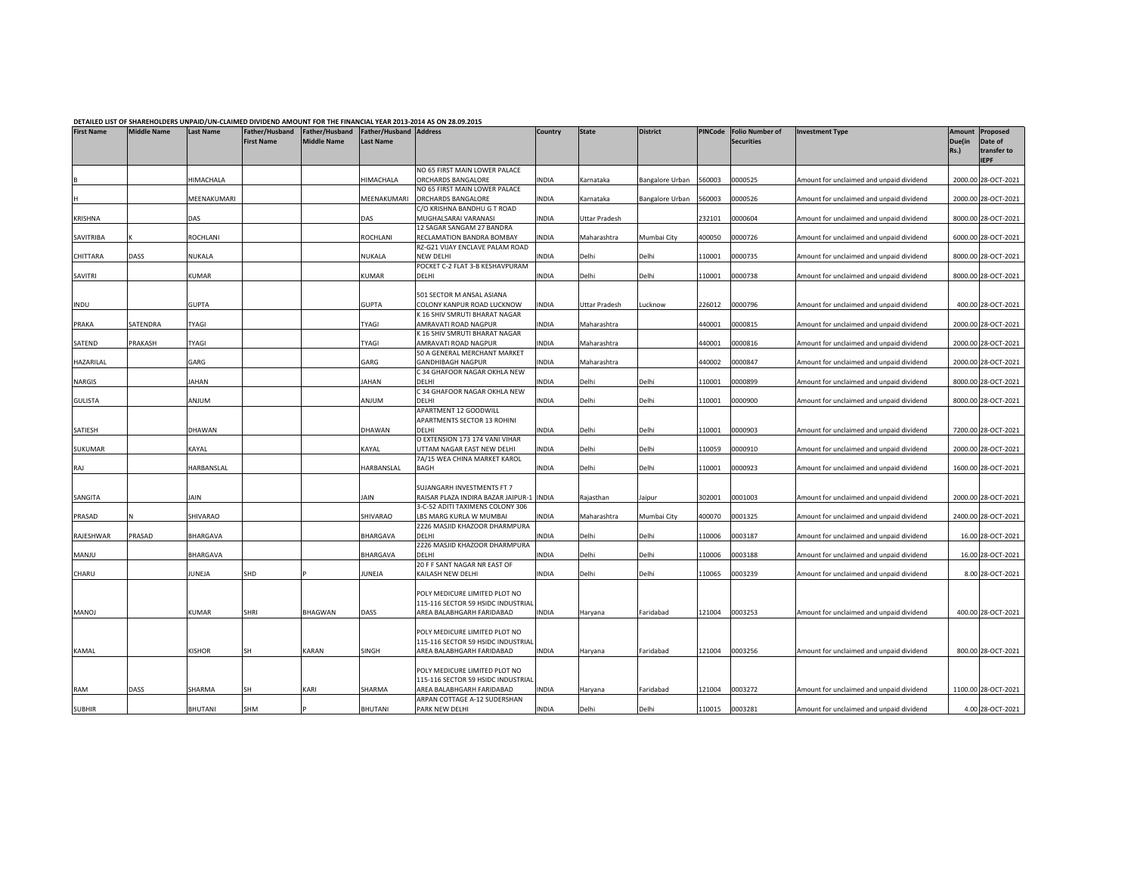| <b>First Name</b> | <b>Middle Name</b> | <b>Last Name</b> | Father/Husband<br><b>First Name</b> | Father/Husband<br><b>Middle Name</b> | Father/Husband Address<br><b>Last Name</b> | DETAILLD LIST OF SHANLHOLDENS UNFAID/UN"CLAINIED DIVIDEND ANIOUNT FON THE FINANCIAL TEAN 2013"2014 AS ON 20.03.2015 | Country | <b>State</b>         | <b>District</b> | <b>PINCode</b> | <b>Folio Number of</b><br><b>Securities</b> | <b>Investment Type</b>                   | Amount<br>Due(in<br>Rs.) | Proposed<br>Date of<br>transfer to<br><b>IEPF</b> |
|-------------------|--------------------|------------------|-------------------------------------|--------------------------------------|--------------------------------------------|---------------------------------------------------------------------------------------------------------------------|---------|----------------------|-----------------|----------------|---------------------------------------------|------------------------------------------|--------------------------|---------------------------------------------------|
|                   |                    |                  |                                     |                                      |                                            | NO 65 FIRST MAIN LOWER PALACE                                                                                       |         |                      |                 |                |                                             |                                          |                          |                                                   |
|                   |                    | HIMACHALA        |                                     |                                      | HIMACHALA                                  | ORCHARDS BANGALORE<br>NO 65 FIRST MAIN LOWER PALACE                                                                 | INDIA   | Karnataka            | Bangalore Urban | 560003         | 0000525                                     | Amount for unclaimed and unpaid dividend |                          | 2000.00 28-OCT-2021                               |
|                   |                    | MEENAKUMARI      |                                     |                                      | MEENAKUMARI                                | ORCHARDS BANGALORE                                                                                                  | INDIA   | Karnataka            | Bangalore Urban | 560003         | 0000526                                     | Amount for unclaimed and unpaid dividend |                          | 2000.00 28-OCT-2021                               |
|                   |                    |                  |                                     |                                      |                                            | C/O KRISHNA BANDHU G T ROAD                                                                                         |         |                      |                 |                |                                             |                                          |                          |                                                   |
| <b>KRISHNA</b>    |                    | DAS              |                                     |                                      | DAS                                        | MUGHALSARAI VARANASI                                                                                                | INDIA   | <b>Uttar Pradesh</b> |                 | 232101         | 0000604                                     | Amount for unclaimed and unpaid dividend |                          | 8000.00 28-OCT-2021                               |
|                   |                    |                  |                                     |                                      |                                            | 12 SAGAR SANGAM 27 BANDRA                                                                                           |         |                      |                 |                |                                             |                                          |                          |                                                   |
| SAVITRIBA         |                    | ROCHLANI         |                                     |                                      | ROCHLANI                                   | RECLAMATION BANDRA BOMBAY                                                                                           | INDIA   | Maharashtra          | Mumbai City     | 400050         | 0000726                                     | Amount for unclaimed and unpaid dividend |                          | 6000.00 28-OCT-2021                               |
|                   |                    |                  |                                     |                                      |                                            | RZ-G21 VIJAY ENCLAVE PALAM ROAD                                                                                     |         |                      |                 |                |                                             |                                          |                          |                                                   |
| CHITTARA          | DASS               | NUKALA           |                                     |                                      | <b>NUKALA</b>                              | NEW DELHI                                                                                                           | INDIA   | Delhi                | Delhi           | 110001         | 0000735                                     | Amount for unclaimed and unpaid dividend |                          | 8000.00 28-OCT-2021                               |
|                   |                    |                  |                                     |                                      |                                            | POCKET C-2 FLAT 3-B KESHAVPURAM                                                                                     |         |                      |                 |                |                                             |                                          |                          |                                                   |
| SAVITRI           |                    | KUMAR            |                                     |                                      | KUMAR                                      | DELHI                                                                                                               | INDIA   | Delhi                | Delhi           | 110001         | 0000738                                     | Amount for unclaimed and unpaid dividend |                          | 8000.00 28-OCT-2021                               |
|                   |                    |                  |                                     |                                      |                                            |                                                                                                                     |         |                      |                 |                |                                             |                                          |                          |                                                   |
|                   |                    |                  |                                     |                                      |                                            | 501 SECTOR M ANSAL ASIANA                                                                                           |         |                      |                 |                |                                             |                                          |                          |                                                   |
| INDU              |                    | <b>GUPTA</b>     |                                     |                                      | <b>GUPTA</b>                               | COLONY KANPUR ROAD LUCKNOW                                                                                          | INDIA   | <b>Uttar Pradesh</b> | Lucknow         | 226012         | 0000796                                     | Amount for unclaimed and unpaid dividend |                          | 400.00 28-OCT-2021                                |
|                   |                    |                  |                                     |                                      |                                            | K 16 SHIV SMRUTI BHARAT NAGAR                                                                                       |         |                      |                 |                |                                             |                                          |                          |                                                   |
| PRAKA             | SATENDRA           | <b>TYAGI</b>     |                                     |                                      | TYAGI                                      | AMRAVATI ROAD NAGPUR                                                                                                | INDIA   | Maharashtra          |                 | 440001         | 0000815                                     | Amount for unclaimed and unpaid dividend |                          | 2000.00 28-OCT-2021                               |
|                   |                    |                  |                                     |                                      |                                            | K 16 SHIV SMRUTI BHARAT NAGAR                                                                                       |         |                      |                 |                |                                             |                                          |                          |                                                   |
| SATEND            | PRAKASH            | TYAGI            |                                     |                                      | <b>TYAGI</b>                               | AMRAVATI ROAD NAGPUR                                                                                                | INDIA   | Maharashtra          |                 | 440001         | 0000816                                     | Amount for unclaimed and unpaid dividend |                          | 2000.00 28-OCT-2021                               |
|                   |                    |                  |                                     |                                      |                                            | 50 A GENERAL MERCHANT MARKET                                                                                        |         |                      |                 |                |                                             |                                          |                          |                                                   |
| HAZARILAL         |                    | GARG             |                                     |                                      | GARG                                       | GANDHIBAGH NAGPUR                                                                                                   | INDIA   | Maharashtra          |                 | 440002         | 0000847                                     | Amount for unclaimed and unpaid dividend |                          | 2000.00 28-OCT-2021                               |
|                   |                    |                  |                                     |                                      |                                            | C 34 GHAFOOR NAGAR OKHLA NEW                                                                                        |         |                      |                 |                |                                             |                                          |                          |                                                   |
| NARGIS            |                    | JAHAN            |                                     |                                      | <b>JAHAN</b>                               | DELHI                                                                                                               | INDIA   | Delhi                | Delhi           | 110001         | 0000899                                     | Amount for unclaimed and unpaid dividend |                          | 8000.00 28-OCT-2021                               |
|                   |                    |                  |                                     |                                      |                                            | C 34 GHAFOOR NAGAR OKHLA NEW                                                                                        |         |                      |                 |                |                                             |                                          |                          |                                                   |
| <b>GULISTA</b>    |                    | MULIA            |                                     |                                      | <b>MULIA</b>                               | DELHI                                                                                                               | INDIA   | Delhi                | Delhi           | 110001         | 0000900                                     | Amount for unclaimed and unpaid dividend |                          | 8000.00 28-OCT-2021                               |
|                   |                    |                  |                                     |                                      |                                            | APARTMENT 12 GOODWILL                                                                                               |         |                      |                 |                |                                             |                                          |                          |                                                   |
|                   |                    |                  |                                     |                                      |                                            | APARTMENTS SECTOR 13 ROHINI                                                                                         |         |                      |                 |                |                                             |                                          |                          |                                                   |
| SATIESH           |                    | DHAWAN           |                                     |                                      | DHAWAN                                     | DELHI                                                                                                               | INDIA   | Delhi                | Delhi           | 110001         | 0000903                                     | Amount for unclaimed and unpaid dividend |                          | 7200.00 28-OCT-2021                               |
|                   |                    |                  |                                     |                                      |                                            | O EXTENSION 173 174 VANI VIHAR                                                                                      |         |                      |                 |                |                                             |                                          |                          |                                                   |
| SUKUMAR           |                    | KAYAL            |                                     |                                      | KAYAL                                      | UTTAM NAGAR EAST NEW DELHI                                                                                          | INDIA   | Delhi                | Delhi           | 110059         | 0000910                                     | Amount for unclaimed and unpaid dividend |                          | 2000.00 28-OCT-2021                               |
|                   |                    |                  |                                     |                                      |                                            | 7A/15 WEA CHINA MARKET KAROL                                                                                        |         |                      |                 |                |                                             |                                          |                          |                                                   |
| RAJ               |                    | HARBANSLAL       |                                     |                                      | HARBANSLAL                                 | BAGH                                                                                                                | INDIA   | Delhi                | Delhi           | 110001         | 0000923                                     | Amount for unclaimed and unpaid dividend |                          | 1600.00 28-OCT-2021                               |
|                   |                    |                  |                                     |                                      |                                            |                                                                                                                     |         |                      |                 |                |                                             |                                          |                          |                                                   |
|                   |                    |                  |                                     |                                      |                                            | SUJANGARH INVESTMENTS FT 7                                                                                          |         |                      |                 |                |                                             |                                          |                          |                                                   |
| SANGITA           |                    | <b>JAIN</b>      |                                     |                                      | JAIN                                       | RAISAR PLAZA INDIRA BAZAR JAIPUR-1 INDIA                                                                            |         | Rajasthan            | Jaipur          | 302001         | 0001003                                     | Amount for unclaimed and unpaid dividend |                          | 2000.00 28-OCT-2021                               |
| PRASAD            |                    | SHIVARAO         |                                     |                                      | SHIVARAO                                   | 3-C-52 ADITI TAXIMENS COLONY 306                                                                                    |         |                      |                 | 400070         | 0001325                                     |                                          |                          |                                                   |
|                   |                    |                  |                                     |                                      |                                            | LBS MARG KURLA W MUMBAI                                                                                             | INDIA   | Maharashtra          | Mumbai City     |                |                                             | Amount for unclaimed and unpaid dividend |                          | 2400.00 28-OCT-2021                               |
| RAJESHWAR         | PRASAD             | BHARGAVA         |                                     |                                      | BHARGAVA                                   | 2226 MASJID KHAZOOR DHARMPURA<br>DELHI                                                                              | INDIA   | Delhi                | Delhi           | 110006         | 0003187                                     | Amount for unclaimed and unpaid dividend |                          | 16.00 28-OCT-2021                                 |
|                   |                    |                  |                                     |                                      |                                            | 2226 MASJID KHAZOOR DHARMPURA                                                                                       |         |                      |                 |                |                                             |                                          |                          |                                                   |
| MANJU             |                    | BHARGAVA         |                                     |                                      | <b>BHARGAVA</b>                            | DELHI                                                                                                               | INDIA   | Delhi                | Delhi           | 110006         | 0003188                                     | Amount for unclaimed and unpaid dividend |                          | 16.00 28-OCT-2021                                 |
|                   |                    |                  |                                     |                                      |                                            | 20 F F SANT NAGAR NR EAST OF                                                                                        |         |                      |                 |                |                                             |                                          |                          |                                                   |
| CHARU             |                    | JUNEJA           | SHD                                 |                                      | JUNEJA                                     | KAILASH NEW DELHI                                                                                                   | INDIA   | Delhi                | Delhi           | 110065         | 0003239                                     | Amount for unclaimed and unpaid dividend |                          | 8.00 28-OCT-2021                                  |
|                   |                    |                  |                                     |                                      |                                            |                                                                                                                     |         |                      |                 |                |                                             |                                          |                          |                                                   |
|                   |                    |                  |                                     |                                      |                                            | POLY MEDICURE LIMITED PLOT NO                                                                                       |         |                      |                 |                |                                             |                                          |                          |                                                   |
|                   |                    |                  |                                     |                                      |                                            | 115-116 SECTOR 59 HSIDC INDUSTRIAL                                                                                  |         |                      |                 |                |                                             |                                          |                          |                                                   |
| MANOJ             |                    | KUMAR            | <b>SHRI</b>                         | BHAGWAN                              | DASS                                       | AREA BALABHGARH FARIDABAD                                                                                           | INDIA   | Haryana              | Faridabad       | 121004         | 0003253                                     | Amount for unclaimed and unpaid dividend |                          | 400.00 28-OCT-2021                                |
|                   |                    |                  |                                     |                                      |                                            |                                                                                                                     |         |                      |                 |                |                                             |                                          |                          |                                                   |
|                   |                    |                  |                                     |                                      |                                            | POLY MEDICURE LIMITED PLOT NO                                                                                       |         |                      |                 |                |                                             |                                          |                          |                                                   |
|                   |                    |                  |                                     |                                      |                                            | 115-116 SECTOR 59 HSIDC INDUSTRIAL                                                                                  |         |                      |                 |                |                                             |                                          |                          |                                                   |
| KAMAL             |                    | KISHOR           | SH                                  | KARAN                                | SINGH                                      | AREA BALABHGARH FARIDABAD                                                                                           | INDIA   | Haryana              | Faridabad       | 121004         | 0003256                                     | Amount for unclaimed and unpaid dividend |                          | 800.00 28-OCT-2021                                |
|                   |                    |                  |                                     |                                      |                                            |                                                                                                                     |         |                      |                 |                |                                             |                                          |                          |                                                   |
|                   |                    |                  |                                     |                                      |                                            | POLY MEDICURE LIMITED PLOT NO                                                                                       |         |                      |                 |                |                                             |                                          |                          |                                                   |
|                   |                    |                  |                                     |                                      |                                            | 115-116 SECTOR 59 HSIDC INDUSTRIAL                                                                                  |         |                      |                 |                |                                             |                                          |                          |                                                   |
| RAM               | DASS               | SHARMA           | <b>SH</b>                           | KARI                                 | SHARMA                                     | AREA BALABHGARH FARIDABAD                                                                                           | INDIA   | Haryana              | Faridabad       | 121004         | 0003272                                     | Amount for unclaimed and unpaid dividend |                          | 1100.00 28-OCT-2021                               |
|                   |                    |                  |                                     |                                      |                                            | ARPAN COTTAGE A-12 SUDERSHAN                                                                                        |         |                      |                 |                |                                             |                                          |                          |                                                   |
| <b>SUBHIR</b>     |                    | BHUTANI          | SHM                                 |                                      | <b>BHUTANI</b>                             | PARK NEW DELHI                                                                                                      | INDIA   | Delhi                | Delhi           | 110015         | 0003281                                     | Amount for unclaimed and unpaid dividend |                          | 4.00 28-OCT-2021                                  |
|                   |                    |                  |                                     |                                      |                                            |                                                                                                                     |         |                      |                 |                |                                             |                                          |                          |                                                   |

## DETAILED LIST OF SHAREHOLDERS UNPAID/UN-CLAIMED DIVIDEND AMOUNT FOR THE FINANCIAL YEAR 2013-2014 AS ON 28.09.2015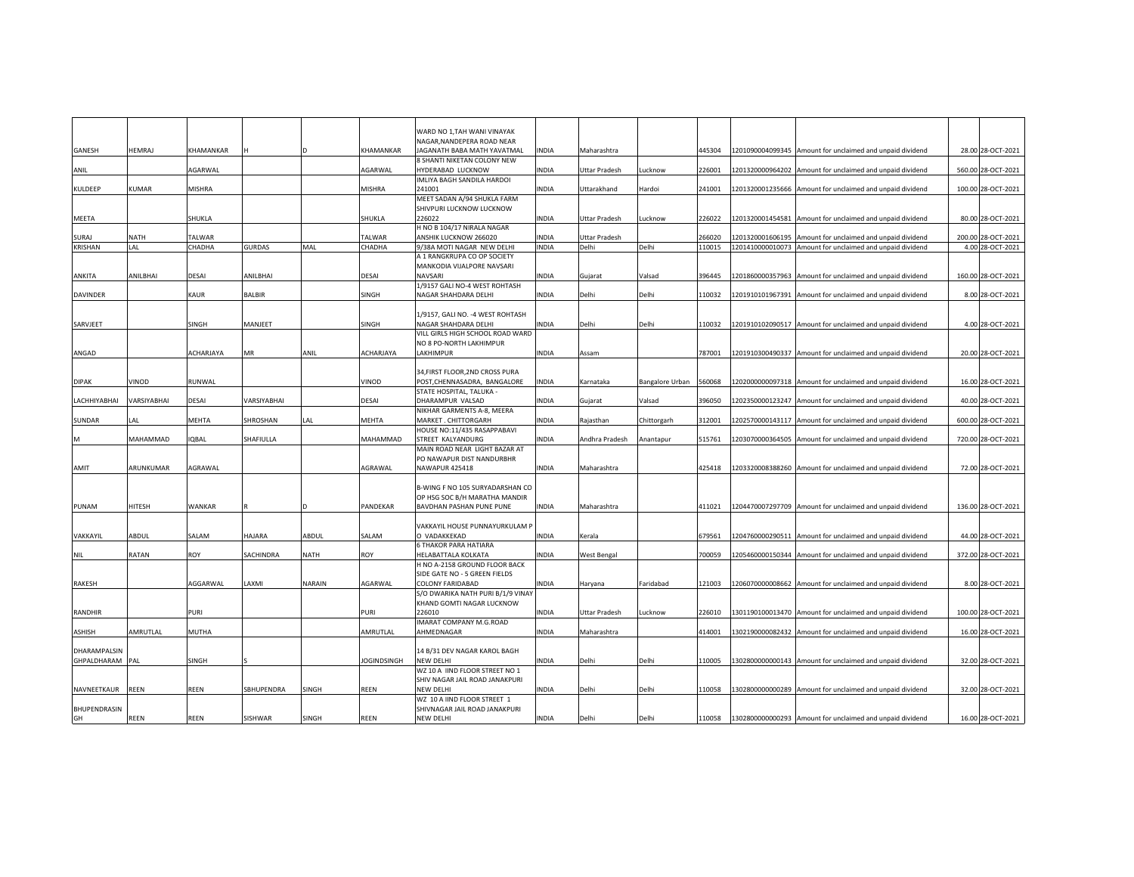| WARD NO 1, TAH WANI VINAYAK<br>NAGAR, NANDEPERA ROAD NEAR<br>HEMRAJ<br>KHAMANKAR<br>KHAMANKAR<br>JAGANATH BABA MATH YAVATMAL<br><b>INDIA</b><br>1201090004099345 Amount for unclaimed and unpaid dividend<br>28.00 28-OCT-2021<br>Maharashtra<br>445304<br>8 SHANTI NIKETAN COLONY NEW<br>AGARWAL<br>AGARWAL<br>HYDERABAD LUCKNOW<br><b>INDIA</b><br>226001<br>1201320000964202 Amount for unclaimed and unpaid dividend<br><b>Uttar Pradesh</b><br>Lucknow<br>560.00 28-OCT-2021<br>IMLIYA BAGH SANDILA HARDOI<br><b>MISHRA</b><br><b>KULDEEP</b><br><b>KUMAR</b><br>MISHRA<br>241001<br><b>INDIA</b><br>Uttarakhand<br>Hardoi<br>241001<br>1201320001235666 Amount for unclaimed and unpaid dividend<br>100.00 28-OCT-2021<br>MEET SADAN A/94 SHUKLA FARM<br>SHIVPURI LUCKNOW LUCKNOW<br>SHUKLA<br>SHUKLA<br>226022<br><b>INDIA</b><br>1201320001454581 Amount for unclaimed and unpaid dividend<br>80.00 28-OCT-2021<br><b>MEETA</b><br><b>Uttar Pradesh</b><br>Lucknow<br>226022<br>H NO B 104/17 NIRALA NAGAR<br><b>TALWAR</b><br>ANSHIK LUCKNOW 266020<br><b>INDIA</b><br>SURAJ<br><b>NATH</b><br>TALWAR<br><b>Uttar Pradesh</b><br>266020<br>1201320001606195 Amount for unclaimed and unpaid dividend<br>200.00 28-OCT-2021<br><b>KRISHAN</b><br>LAL<br>CHADHA<br><b>GURDAS</b><br>MAL<br>CHADHA<br>9/38A MOTI NAGAR NEW DELHI<br><b>INDIA</b><br>Delhi<br>Delhi<br>110015<br>1201410000010073 Amount for unclaimed and unpaid dividend<br>4.00 28-OCT-2021<br>A 1 RANGKRUPA CO OP SOCIETY<br>MANKODIA VIJALPORE NAVSARI<br>DESAI<br>ANILBHAI<br>DESAI<br>ANILBHAI<br>NAVSARI<br><b>INDIA</b><br>Valsad<br>1201860000357963 Amount for unclaimed and unpaid dividend<br>160.00 28-OCT-2021<br>ANKITA<br>Gujarat<br>396445<br>1/9157 GALI NO-4 WEST ROHTASH<br><b>DAVINDER</b><br>KAUR<br>BALBIR<br>SINGH<br>NAGAR SHAHDARA DELHI<br><b>INDIA</b><br>Delhi<br>Delhi<br>110032<br>1201910101967391 Amount for unclaimed and unpaid dividend<br>8.00 28-OCT-2021<br>1/9157, GALI NO. - 4 WEST ROHTASH<br>SARVJEET<br>SINGH<br>MANJEET<br>SINGH<br>NAGAR SHAHDARA DELHI<br><b>INDIA</b><br>Delhi<br>110032<br>1201910102090517 Amount for unclaimed and unpaid dividend<br>4.00 28-OCT-2021<br>Delhi<br>VILL GIRLS HIGH SCHOOL ROAD WARD<br>NO 8 PO-NORTH LAKHIMPUR<br>ANGAD<br>ACHARJAYA<br>MR<br>ANIL<br>ACHARJAYA<br>LAKHIMPUR<br>INDIA<br>787001<br>1201910300490337 Amount for unclaimed and unpaid dividend<br>20.00 28-OCT-2021<br>Assam<br>34, FIRST FLOOR, 2ND CROSS PURA<br>VINOD<br><b>DIPAK</b><br>VINOD<br>RUNWAL<br>POST, CHENNASADRA, BANGALORE<br><b>INDIA</b><br>560068<br>1202000000097318 Amount for unclaimed and unpaid dividend<br>16.00 28-OCT-2021<br>Karnataka<br><b>Bangalore Urban</b><br>STATE HOSPITAL, TALUKA -<br>LACHHIYABHAI<br>VARSIYABHAI<br>DESAI<br>VARSIYABHAI<br>DESAI<br>DHARAMPUR VALSAD<br>INDIA<br>Valsad<br>396050<br>1202350000123247 Amount for unclaimed and unpaid dividend<br>40.00 28-OCT-2021<br>Gujarat<br>NIKHAR GARMENTS A-8, MEERA<br>MEHTA<br>SHROSHAN<br>LAL<br>MEHTA<br>MARKET. CHITTORGARH<br>INDIA<br>312001<br>1202570000143117 Amount for unclaimed and unpaid dividend<br>600.00 28-OCT-2021<br>SUNDAR<br>LAL<br>Rajasthan<br>Chittorgarh<br>HOUSE NO:11/435 RASAPPABAVI<br>MAHAMMAD<br><b>IQBAL</b><br>SHAFIULLA<br>MAHAMMAD<br>STREET KALYANDURG<br>INDIA<br>Anantapur<br>515761<br>1203070000364505 Amount for unclaimed and unpaid dividend<br>Andhra Pradesh<br>720.00 28-OCT-2021<br>MAIN ROAD NEAR LIGHT BAZAR AT<br>PO NAWAPUR DIST NANDURBHR<br>ARUNKUMAR<br>AGRAWAL<br>AGRAWAL<br>NAWAPUR 425418<br><b>INDIA</b><br>Maharashtra<br>425418<br>1203320008388260 Amount for unclaimed and unpaid dividend<br>72.00 28-OCT-2021<br>B-WING F NO 105 SURYADARSHAN CO<br>OP HSG SOC B/H MARATHA MANDIR<br>PUNAM<br>HITESH<br>WANKAR<br>PANDEKAR<br>BAVDHAN PASHAN PUNE PUNE<br><b>INDIA</b><br>Maharashtra<br>1204470007297709 Amount for unclaimed and unpaid dividend<br>136.00 28-OCT-2021<br>411021<br>VAKKAYIL HOUSE PUNNAYURKULAM P<br>VAKKAYIL<br>ABDUL<br>SALAM<br><b>HAJARA</b><br>ABDUL<br>SALAM<br>O VADAKKEKAD<br><b>INDIA</b><br>Kerala<br>679561<br>1204760000290511 Amount for unclaimed and unpaid dividend<br>44.00 28-OCT-2021<br>6 THAKOR PARA HATIARA<br>RATAN<br>ROY<br>SACHINDRA<br>NATH<br>ROY<br>HELABATTALA KOLKATA<br>INDIA<br>700059<br>1205460000150344 Amount for unclaimed and unpaid dividend<br>372.00 28-OCT-2021<br><b>NIL</b><br><b>West Bengal</b><br>H NO A-2158 GROUND FLOOR BACK<br>SIDE GATE NO - 5 GREEN FIELDS<br>AGGARWAL<br>NARAIN<br>AGARWAL<br>121003<br>1206070000008662 Amount for unclaimed and unpaid dividend<br>8.00 28-OCT-2021<br>RAKESH<br>LAXMI<br><b>COLONY FARIDABAD</b><br>INDIA<br>Haryana<br>Faridabad<br>S/O DWARIKA NATH PURI B/1/9 VINAY<br>KHAND GOMTI NAGAR LUCKNOW<br><b>RANDHIR</b><br>PURI<br>PURI<br>226010<br>INDIA<br>226010<br>1301190100013470 Amount for unclaimed and unpaid dividend<br>100.00 28-OCT-2021<br><b>Uttar Pradesh</b><br>Lucknow<br>IMARAT COMPANY M.G.ROAD<br>AMRUTLAL<br>MUTHA<br>AMRUTLAL<br>AHMEDNAGAR<br>INDIA<br>414001<br>1302190000082432 Amount for unclaimed and unpaid dividend<br>16.00 28-OCT-2021<br>ASHISH<br>Maharashtra<br>DHARAMPALSIN<br>14 B/31 DEV NAGAR KAROL BAGH<br>GHPALDHARAM<br>SINGH<br><b>JOGINDSINGH</b><br><b>NEW DELHI</b><br>INDIA<br>Delhi<br>Delhi<br>1302800000000143 Amount for unclaimed and unpaid dividend<br>32.00 28-OCT-2021<br>PAL<br>110005<br>WZ 10 A IIND FLOOR STREET NO 1<br>SHIV NAGAR JAIL ROAD JANAKPURI<br>NAVNEETKAUR<br><b>REEN</b><br>REEN<br>SBHUPENDRA<br>REEN<br><b>NEW DELHI</b><br>INDIA<br>Delhi<br>110058<br>1302800000000289 Amount for unclaimed and unpaid dividend<br>32.00 28-OCT-2021<br>SINGH<br>Delhi<br>WZ 10 A IIND FLOOR STREET 1<br>SHIVNAGAR JAIL ROAD JANAKPURI<br><b>NEW DELHI</b><br>REEN<br>REEN<br>SISHWAR<br>SINGH<br>REEN<br><b>INDIA</b><br>Delhi<br>Delhi<br>110058<br>1302800000000293 Amount for unclaimed and unpaid dividend<br>16.00 28-OCT-2021 |              |  |  |  |  |  |  |  |
|------------------------------------------------------------------------------------------------------------------------------------------------------------------------------------------------------------------------------------------------------------------------------------------------------------------------------------------------------------------------------------------------------------------------------------------------------------------------------------------------------------------------------------------------------------------------------------------------------------------------------------------------------------------------------------------------------------------------------------------------------------------------------------------------------------------------------------------------------------------------------------------------------------------------------------------------------------------------------------------------------------------------------------------------------------------------------------------------------------------------------------------------------------------------------------------------------------------------------------------------------------------------------------------------------------------------------------------------------------------------------------------------------------------------------------------------------------------------------------------------------------------------------------------------------------------------------------------------------------------------------------------------------------------------------------------------------------------------------------------------------------------------------------------------------------------------------------------------------------------------------------------------------------------------------------------------------------------------------------------------------------------------------------------------------------------------------------------------------------------------------------------------------------------------------------------------------------------------------------------------------------------------------------------------------------------------------------------------------------------------------------------------------------------------------------------------------------------------------------------------------------------------------------------------------------------------------------------------------------------------------------------------------------------------------------------------------------------------------------------------------------------------------------------------------------------------------------------------------------------------------------------------------------------------------------------------------------------------------------------------------------------------------------------------------------------------------------------------------------------------------------------------------------------------------------------------------------------------------------------------------------------------------------------------------------------------------------------------------------------------------------------------------------------------------------------------------------------------------------------------------------------------------------------------------------------------------------------------------------------------------------------------------------------------------------------------------------------------------------------------------------------------------------------------------------------------------------------------------------------------------------------------------------------------------------------------------------------------------------------------------------------------------------------------------------------------------------------------------------------------------------------------------------------------------------------------------------------------------------------------------------------------------------------------------------------------------------------------------------------------------------------------------------------------------------------------------------------------------------------------------------------------------------------------------------------------------------------------------------------------------------------------------------------------------------------------------------------------------------------------------------------------------------------------------------------------------------------------------------------------------------------------------------------------------------------------------------------------------------------------------------------------------------------------------------------------------------------------------------------------------------------------------------------------------------------------------------------------------------------------------------------------------------------------------------------------------------------------------------------------------------------------------------------------------------------------------------------------------------------------------------------------------------------------------------------------------------------------------------------------------------------------------------------------------------------------------------------------------------------------------------------------------------------------------------------------------------------------------------------------------------------------------------------------------------------------------------------------------------------------------------|--------------|--|--|--|--|--|--|--|
|                                                                                                                                                                                                                                                                                                                                                                                                                                                                                                                                                                                                                                                                                                                                                                                                                                                                                                                                                                                                                                                                                                                                                                                                                                                                                                                                                                                                                                                                                                                                                                                                                                                                                                                                                                                                                                                                                                                                                                                                                                                                                                                                                                                                                                                                                                                                                                                                                                                                                                                                                                                                                                                                                                                                                                                                                                                                                                                                                                                                                                                                                                                                                                                                                                                                                                                                                                                                                                                                                                                                                                                                                                                                                                                                                                                                                                                                                                                                                                                                                                                                                                                                                                                                                                                                                                                                                                                                                                                                                                                                                                                                                                                                                                                                                                                                                                                                                                                                                                                                                                                                                                                                                                                                                                                                                                                                                                                                                                                                                                                                                                                                                                                                                                                                                                                                                                                                                                                                                                                                            |              |  |  |  |  |  |  |  |
|                                                                                                                                                                                                                                                                                                                                                                                                                                                                                                                                                                                                                                                                                                                                                                                                                                                                                                                                                                                                                                                                                                                                                                                                                                                                                                                                                                                                                                                                                                                                                                                                                                                                                                                                                                                                                                                                                                                                                                                                                                                                                                                                                                                                                                                                                                                                                                                                                                                                                                                                                                                                                                                                                                                                                                                                                                                                                                                                                                                                                                                                                                                                                                                                                                                                                                                                                                                                                                                                                                                                                                                                                                                                                                                                                                                                                                                                                                                                                                                                                                                                                                                                                                                                                                                                                                                                                                                                                                                                                                                                                                                                                                                                                                                                                                                                                                                                                                                                                                                                                                                                                                                                                                                                                                                                                                                                                                                                                                                                                                                                                                                                                                                                                                                                                                                                                                                                                                                                                                                                            |              |  |  |  |  |  |  |  |
|                                                                                                                                                                                                                                                                                                                                                                                                                                                                                                                                                                                                                                                                                                                                                                                                                                                                                                                                                                                                                                                                                                                                                                                                                                                                                                                                                                                                                                                                                                                                                                                                                                                                                                                                                                                                                                                                                                                                                                                                                                                                                                                                                                                                                                                                                                                                                                                                                                                                                                                                                                                                                                                                                                                                                                                                                                                                                                                                                                                                                                                                                                                                                                                                                                                                                                                                                                                                                                                                                                                                                                                                                                                                                                                                                                                                                                                                                                                                                                                                                                                                                                                                                                                                                                                                                                                                                                                                                                                                                                                                                                                                                                                                                                                                                                                                                                                                                                                                                                                                                                                                                                                                                                                                                                                                                                                                                                                                                                                                                                                                                                                                                                                                                                                                                                                                                                                                                                                                                                                                            | GANESH       |  |  |  |  |  |  |  |
|                                                                                                                                                                                                                                                                                                                                                                                                                                                                                                                                                                                                                                                                                                                                                                                                                                                                                                                                                                                                                                                                                                                                                                                                                                                                                                                                                                                                                                                                                                                                                                                                                                                                                                                                                                                                                                                                                                                                                                                                                                                                                                                                                                                                                                                                                                                                                                                                                                                                                                                                                                                                                                                                                                                                                                                                                                                                                                                                                                                                                                                                                                                                                                                                                                                                                                                                                                                                                                                                                                                                                                                                                                                                                                                                                                                                                                                                                                                                                                                                                                                                                                                                                                                                                                                                                                                                                                                                                                                                                                                                                                                                                                                                                                                                                                                                                                                                                                                                                                                                                                                                                                                                                                                                                                                                                                                                                                                                                                                                                                                                                                                                                                                                                                                                                                                                                                                                                                                                                                                                            |              |  |  |  |  |  |  |  |
|                                                                                                                                                                                                                                                                                                                                                                                                                                                                                                                                                                                                                                                                                                                                                                                                                                                                                                                                                                                                                                                                                                                                                                                                                                                                                                                                                                                                                                                                                                                                                                                                                                                                                                                                                                                                                                                                                                                                                                                                                                                                                                                                                                                                                                                                                                                                                                                                                                                                                                                                                                                                                                                                                                                                                                                                                                                                                                                                                                                                                                                                                                                                                                                                                                                                                                                                                                                                                                                                                                                                                                                                                                                                                                                                                                                                                                                                                                                                                                                                                                                                                                                                                                                                                                                                                                                                                                                                                                                                                                                                                                                                                                                                                                                                                                                                                                                                                                                                                                                                                                                                                                                                                                                                                                                                                                                                                                                                                                                                                                                                                                                                                                                                                                                                                                                                                                                                                                                                                                                                            | ANIL         |  |  |  |  |  |  |  |
|                                                                                                                                                                                                                                                                                                                                                                                                                                                                                                                                                                                                                                                                                                                                                                                                                                                                                                                                                                                                                                                                                                                                                                                                                                                                                                                                                                                                                                                                                                                                                                                                                                                                                                                                                                                                                                                                                                                                                                                                                                                                                                                                                                                                                                                                                                                                                                                                                                                                                                                                                                                                                                                                                                                                                                                                                                                                                                                                                                                                                                                                                                                                                                                                                                                                                                                                                                                                                                                                                                                                                                                                                                                                                                                                                                                                                                                                                                                                                                                                                                                                                                                                                                                                                                                                                                                                                                                                                                                                                                                                                                                                                                                                                                                                                                                                                                                                                                                                                                                                                                                                                                                                                                                                                                                                                                                                                                                                                                                                                                                                                                                                                                                                                                                                                                                                                                                                                                                                                                                                            |              |  |  |  |  |  |  |  |
|                                                                                                                                                                                                                                                                                                                                                                                                                                                                                                                                                                                                                                                                                                                                                                                                                                                                                                                                                                                                                                                                                                                                                                                                                                                                                                                                                                                                                                                                                                                                                                                                                                                                                                                                                                                                                                                                                                                                                                                                                                                                                                                                                                                                                                                                                                                                                                                                                                                                                                                                                                                                                                                                                                                                                                                                                                                                                                                                                                                                                                                                                                                                                                                                                                                                                                                                                                                                                                                                                                                                                                                                                                                                                                                                                                                                                                                                                                                                                                                                                                                                                                                                                                                                                                                                                                                                                                                                                                                                                                                                                                                                                                                                                                                                                                                                                                                                                                                                                                                                                                                                                                                                                                                                                                                                                                                                                                                                                                                                                                                                                                                                                                                                                                                                                                                                                                                                                                                                                                                                            |              |  |  |  |  |  |  |  |
|                                                                                                                                                                                                                                                                                                                                                                                                                                                                                                                                                                                                                                                                                                                                                                                                                                                                                                                                                                                                                                                                                                                                                                                                                                                                                                                                                                                                                                                                                                                                                                                                                                                                                                                                                                                                                                                                                                                                                                                                                                                                                                                                                                                                                                                                                                                                                                                                                                                                                                                                                                                                                                                                                                                                                                                                                                                                                                                                                                                                                                                                                                                                                                                                                                                                                                                                                                                                                                                                                                                                                                                                                                                                                                                                                                                                                                                                                                                                                                                                                                                                                                                                                                                                                                                                                                                                                                                                                                                                                                                                                                                                                                                                                                                                                                                                                                                                                                                                                                                                                                                                                                                                                                                                                                                                                                                                                                                                                                                                                                                                                                                                                                                                                                                                                                                                                                                                                                                                                                                                            |              |  |  |  |  |  |  |  |
|                                                                                                                                                                                                                                                                                                                                                                                                                                                                                                                                                                                                                                                                                                                                                                                                                                                                                                                                                                                                                                                                                                                                                                                                                                                                                                                                                                                                                                                                                                                                                                                                                                                                                                                                                                                                                                                                                                                                                                                                                                                                                                                                                                                                                                                                                                                                                                                                                                                                                                                                                                                                                                                                                                                                                                                                                                                                                                                                                                                                                                                                                                                                                                                                                                                                                                                                                                                                                                                                                                                                                                                                                                                                                                                                                                                                                                                                                                                                                                                                                                                                                                                                                                                                                                                                                                                                                                                                                                                                                                                                                                                                                                                                                                                                                                                                                                                                                                                                                                                                                                                                                                                                                                                                                                                                                                                                                                                                                                                                                                                                                                                                                                                                                                                                                                                                                                                                                                                                                                                                            |              |  |  |  |  |  |  |  |
|                                                                                                                                                                                                                                                                                                                                                                                                                                                                                                                                                                                                                                                                                                                                                                                                                                                                                                                                                                                                                                                                                                                                                                                                                                                                                                                                                                                                                                                                                                                                                                                                                                                                                                                                                                                                                                                                                                                                                                                                                                                                                                                                                                                                                                                                                                                                                                                                                                                                                                                                                                                                                                                                                                                                                                                                                                                                                                                                                                                                                                                                                                                                                                                                                                                                                                                                                                                                                                                                                                                                                                                                                                                                                                                                                                                                                                                                                                                                                                                                                                                                                                                                                                                                                                                                                                                                                                                                                                                                                                                                                                                                                                                                                                                                                                                                                                                                                                                                                                                                                                                                                                                                                                                                                                                                                                                                                                                                                                                                                                                                                                                                                                                                                                                                                                                                                                                                                                                                                                                                            |              |  |  |  |  |  |  |  |
|                                                                                                                                                                                                                                                                                                                                                                                                                                                                                                                                                                                                                                                                                                                                                                                                                                                                                                                                                                                                                                                                                                                                                                                                                                                                                                                                                                                                                                                                                                                                                                                                                                                                                                                                                                                                                                                                                                                                                                                                                                                                                                                                                                                                                                                                                                                                                                                                                                                                                                                                                                                                                                                                                                                                                                                                                                                                                                                                                                                                                                                                                                                                                                                                                                                                                                                                                                                                                                                                                                                                                                                                                                                                                                                                                                                                                                                                                                                                                                                                                                                                                                                                                                                                                                                                                                                                                                                                                                                                                                                                                                                                                                                                                                                                                                                                                                                                                                                                                                                                                                                                                                                                                                                                                                                                                                                                                                                                                                                                                                                                                                                                                                                                                                                                                                                                                                                                                                                                                                                                            |              |  |  |  |  |  |  |  |
|                                                                                                                                                                                                                                                                                                                                                                                                                                                                                                                                                                                                                                                                                                                                                                                                                                                                                                                                                                                                                                                                                                                                                                                                                                                                                                                                                                                                                                                                                                                                                                                                                                                                                                                                                                                                                                                                                                                                                                                                                                                                                                                                                                                                                                                                                                                                                                                                                                                                                                                                                                                                                                                                                                                                                                                                                                                                                                                                                                                                                                                                                                                                                                                                                                                                                                                                                                                                                                                                                                                                                                                                                                                                                                                                                                                                                                                                                                                                                                                                                                                                                                                                                                                                                                                                                                                                                                                                                                                                                                                                                                                                                                                                                                                                                                                                                                                                                                                                                                                                                                                                                                                                                                                                                                                                                                                                                                                                                                                                                                                                                                                                                                                                                                                                                                                                                                                                                                                                                                                                            |              |  |  |  |  |  |  |  |
|                                                                                                                                                                                                                                                                                                                                                                                                                                                                                                                                                                                                                                                                                                                                                                                                                                                                                                                                                                                                                                                                                                                                                                                                                                                                                                                                                                                                                                                                                                                                                                                                                                                                                                                                                                                                                                                                                                                                                                                                                                                                                                                                                                                                                                                                                                                                                                                                                                                                                                                                                                                                                                                                                                                                                                                                                                                                                                                                                                                                                                                                                                                                                                                                                                                                                                                                                                                                                                                                                                                                                                                                                                                                                                                                                                                                                                                                                                                                                                                                                                                                                                                                                                                                                                                                                                                                                                                                                                                                                                                                                                                                                                                                                                                                                                                                                                                                                                                                                                                                                                                                                                                                                                                                                                                                                                                                                                                                                                                                                                                                                                                                                                                                                                                                                                                                                                                                                                                                                                                                            |              |  |  |  |  |  |  |  |
|                                                                                                                                                                                                                                                                                                                                                                                                                                                                                                                                                                                                                                                                                                                                                                                                                                                                                                                                                                                                                                                                                                                                                                                                                                                                                                                                                                                                                                                                                                                                                                                                                                                                                                                                                                                                                                                                                                                                                                                                                                                                                                                                                                                                                                                                                                                                                                                                                                                                                                                                                                                                                                                                                                                                                                                                                                                                                                                                                                                                                                                                                                                                                                                                                                                                                                                                                                                                                                                                                                                                                                                                                                                                                                                                                                                                                                                                                                                                                                                                                                                                                                                                                                                                                                                                                                                                                                                                                                                                                                                                                                                                                                                                                                                                                                                                                                                                                                                                                                                                                                                                                                                                                                                                                                                                                                                                                                                                                                                                                                                                                                                                                                                                                                                                                                                                                                                                                                                                                                                                            |              |  |  |  |  |  |  |  |
|                                                                                                                                                                                                                                                                                                                                                                                                                                                                                                                                                                                                                                                                                                                                                                                                                                                                                                                                                                                                                                                                                                                                                                                                                                                                                                                                                                                                                                                                                                                                                                                                                                                                                                                                                                                                                                                                                                                                                                                                                                                                                                                                                                                                                                                                                                                                                                                                                                                                                                                                                                                                                                                                                                                                                                                                                                                                                                                                                                                                                                                                                                                                                                                                                                                                                                                                                                                                                                                                                                                                                                                                                                                                                                                                                                                                                                                                                                                                                                                                                                                                                                                                                                                                                                                                                                                                                                                                                                                                                                                                                                                                                                                                                                                                                                                                                                                                                                                                                                                                                                                                                                                                                                                                                                                                                                                                                                                                                                                                                                                                                                                                                                                                                                                                                                                                                                                                                                                                                                                                            |              |  |  |  |  |  |  |  |
|                                                                                                                                                                                                                                                                                                                                                                                                                                                                                                                                                                                                                                                                                                                                                                                                                                                                                                                                                                                                                                                                                                                                                                                                                                                                                                                                                                                                                                                                                                                                                                                                                                                                                                                                                                                                                                                                                                                                                                                                                                                                                                                                                                                                                                                                                                                                                                                                                                                                                                                                                                                                                                                                                                                                                                                                                                                                                                                                                                                                                                                                                                                                                                                                                                                                                                                                                                                                                                                                                                                                                                                                                                                                                                                                                                                                                                                                                                                                                                                                                                                                                                                                                                                                                                                                                                                                                                                                                                                                                                                                                                                                                                                                                                                                                                                                                                                                                                                                                                                                                                                                                                                                                                                                                                                                                                                                                                                                                                                                                                                                                                                                                                                                                                                                                                                                                                                                                                                                                                                                            |              |  |  |  |  |  |  |  |
|                                                                                                                                                                                                                                                                                                                                                                                                                                                                                                                                                                                                                                                                                                                                                                                                                                                                                                                                                                                                                                                                                                                                                                                                                                                                                                                                                                                                                                                                                                                                                                                                                                                                                                                                                                                                                                                                                                                                                                                                                                                                                                                                                                                                                                                                                                                                                                                                                                                                                                                                                                                                                                                                                                                                                                                                                                                                                                                                                                                                                                                                                                                                                                                                                                                                                                                                                                                                                                                                                                                                                                                                                                                                                                                                                                                                                                                                                                                                                                                                                                                                                                                                                                                                                                                                                                                                                                                                                                                                                                                                                                                                                                                                                                                                                                                                                                                                                                                                                                                                                                                                                                                                                                                                                                                                                                                                                                                                                                                                                                                                                                                                                                                                                                                                                                                                                                                                                                                                                                                                            |              |  |  |  |  |  |  |  |
|                                                                                                                                                                                                                                                                                                                                                                                                                                                                                                                                                                                                                                                                                                                                                                                                                                                                                                                                                                                                                                                                                                                                                                                                                                                                                                                                                                                                                                                                                                                                                                                                                                                                                                                                                                                                                                                                                                                                                                                                                                                                                                                                                                                                                                                                                                                                                                                                                                                                                                                                                                                                                                                                                                                                                                                                                                                                                                                                                                                                                                                                                                                                                                                                                                                                                                                                                                                                                                                                                                                                                                                                                                                                                                                                                                                                                                                                                                                                                                                                                                                                                                                                                                                                                                                                                                                                                                                                                                                                                                                                                                                                                                                                                                                                                                                                                                                                                                                                                                                                                                                                                                                                                                                                                                                                                                                                                                                                                                                                                                                                                                                                                                                                                                                                                                                                                                                                                                                                                                                                            |              |  |  |  |  |  |  |  |
|                                                                                                                                                                                                                                                                                                                                                                                                                                                                                                                                                                                                                                                                                                                                                                                                                                                                                                                                                                                                                                                                                                                                                                                                                                                                                                                                                                                                                                                                                                                                                                                                                                                                                                                                                                                                                                                                                                                                                                                                                                                                                                                                                                                                                                                                                                                                                                                                                                                                                                                                                                                                                                                                                                                                                                                                                                                                                                                                                                                                                                                                                                                                                                                                                                                                                                                                                                                                                                                                                                                                                                                                                                                                                                                                                                                                                                                                                                                                                                                                                                                                                                                                                                                                                                                                                                                                                                                                                                                                                                                                                                                                                                                                                                                                                                                                                                                                                                                                                                                                                                                                                                                                                                                                                                                                                                                                                                                                                                                                                                                                                                                                                                                                                                                                                                                                                                                                                                                                                                                                            |              |  |  |  |  |  |  |  |
|                                                                                                                                                                                                                                                                                                                                                                                                                                                                                                                                                                                                                                                                                                                                                                                                                                                                                                                                                                                                                                                                                                                                                                                                                                                                                                                                                                                                                                                                                                                                                                                                                                                                                                                                                                                                                                                                                                                                                                                                                                                                                                                                                                                                                                                                                                                                                                                                                                                                                                                                                                                                                                                                                                                                                                                                                                                                                                                                                                                                                                                                                                                                                                                                                                                                                                                                                                                                                                                                                                                                                                                                                                                                                                                                                                                                                                                                                                                                                                                                                                                                                                                                                                                                                                                                                                                                                                                                                                                                                                                                                                                                                                                                                                                                                                                                                                                                                                                                                                                                                                                                                                                                                                                                                                                                                                                                                                                                                                                                                                                                                                                                                                                                                                                                                                                                                                                                                                                                                                                                            |              |  |  |  |  |  |  |  |
|                                                                                                                                                                                                                                                                                                                                                                                                                                                                                                                                                                                                                                                                                                                                                                                                                                                                                                                                                                                                                                                                                                                                                                                                                                                                                                                                                                                                                                                                                                                                                                                                                                                                                                                                                                                                                                                                                                                                                                                                                                                                                                                                                                                                                                                                                                                                                                                                                                                                                                                                                                                                                                                                                                                                                                                                                                                                                                                                                                                                                                                                                                                                                                                                                                                                                                                                                                                                                                                                                                                                                                                                                                                                                                                                                                                                                                                                                                                                                                                                                                                                                                                                                                                                                                                                                                                                                                                                                                                                                                                                                                                                                                                                                                                                                                                                                                                                                                                                                                                                                                                                                                                                                                                                                                                                                                                                                                                                                                                                                                                                                                                                                                                                                                                                                                                                                                                                                                                                                                                                            |              |  |  |  |  |  |  |  |
|                                                                                                                                                                                                                                                                                                                                                                                                                                                                                                                                                                                                                                                                                                                                                                                                                                                                                                                                                                                                                                                                                                                                                                                                                                                                                                                                                                                                                                                                                                                                                                                                                                                                                                                                                                                                                                                                                                                                                                                                                                                                                                                                                                                                                                                                                                                                                                                                                                                                                                                                                                                                                                                                                                                                                                                                                                                                                                                                                                                                                                                                                                                                                                                                                                                                                                                                                                                                                                                                                                                                                                                                                                                                                                                                                                                                                                                                                                                                                                                                                                                                                                                                                                                                                                                                                                                                                                                                                                                                                                                                                                                                                                                                                                                                                                                                                                                                                                                                                                                                                                                                                                                                                                                                                                                                                                                                                                                                                                                                                                                                                                                                                                                                                                                                                                                                                                                                                                                                                                                                            |              |  |  |  |  |  |  |  |
|                                                                                                                                                                                                                                                                                                                                                                                                                                                                                                                                                                                                                                                                                                                                                                                                                                                                                                                                                                                                                                                                                                                                                                                                                                                                                                                                                                                                                                                                                                                                                                                                                                                                                                                                                                                                                                                                                                                                                                                                                                                                                                                                                                                                                                                                                                                                                                                                                                                                                                                                                                                                                                                                                                                                                                                                                                                                                                                                                                                                                                                                                                                                                                                                                                                                                                                                                                                                                                                                                                                                                                                                                                                                                                                                                                                                                                                                                                                                                                                                                                                                                                                                                                                                                                                                                                                                                                                                                                                                                                                                                                                                                                                                                                                                                                                                                                                                                                                                                                                                                                                                                                                                                                                                                                                                                                                                                                                                                                                                                                                                                                                                                                                                                                                                                                                                                                                                                                                                                                                                            |              |  |  |  |  |  |  |  |
|                                                                                                                                                                                                                                                                                                                                                                                                                                                                                                                                                                                                                                                                                                                                                                                                                                                                                                                                                                                                                                                                                                                                                                                                                                                                                                                                                                                                                                                                                                                                                                                                                                                                                                                                                                                                                                                                                                                                                                                                                                                                                                                                                                                                                                                                                                                                                                                                                                                                                                                                                                                                                                                                                                                                                                                                                                                                                                                                                                                                                                                                                                                                                                                                                                                                                                                                                                                                                                                                                                                                                                                                                                                                                                                                                                                                                                                                                                                                                                                                                                                                                                                                                                                                                                                                                                                                                                                                                                                                                                                                                                                                                                                                                                                                                                                                                                                                                                                                                                                                                                                                                                                                                                                                                                                                                                                                                                                                                                                                                                                                                                                                                                                                                                                                                                                                                                                                                                                                                                                                            |              |  |  |  |  |  |  |  |
|                                                                                                                                                                                                                                                                                                                                                                                                                                                                                                                                                                                                                                                                                                                                                                                                                                                                                                                                                                                                                                                                                                                                                                                                                                                                                                                                                                                                                                                                                                                                                                                                                                                                                                                                                                                                                                                                                                                                                                                                                                                                                                                                                                                                                                                                                                                                                                                                                                                                                                                                                                                                                                                                                                                                                                                                                                                                                                                                                                                                                                                                                                                                                                                                                                                                                                                                                                                                                                                                                                                                                                                                                                                                                                                                                                                                                                                                                                                                                                                                                                                                                                                                                                                                                                                                                                                                                                                                                                                                                                                                                                                                                                                                                                                                                                                                                                                                                                                                                                                                                                                                                                                                                                                                                                                                                                                                                                                                                                                                                                                                                                                                                                                                                                                                                                                                                                                                                                                                                                                                            |              |  |  |  |  |  |  |  |
|                                                                                                                                                                                                                                                                                                                                                                                                                                                                                                                                                                                                                                                                                                                                                                                                                                                                                                                                                                                                                                                                                                                                                                                                                                                                                                                                                                                                                                                                                                                                                                                                                                                                                                                                                                                                                                                                                                                                                                                                                                                                                                                                                                                                                                                                                                                                                                                                                                                                                                                                                                                                                                                                                                                                                                                                                                                                                                                                                                                                                                                                                                                                                                                                                                                                                                                                                                                                                                                                                                                                                                                                                                                                                                                                                                                                                                                                                                                                                                                                                                                                                                                                                                                                                                                                                                                                                                                                                                                                                                                                                                                                                                                                                                                                                                                                                                                                                                                                                                                                                                                                                                                                                                                                                                                                                                                                                                                                                                                                                                                                                                                                                                                                                                                                                                                                                                                                                                                                                                                                            |              |  |  |  |  |  |  |  |
|                                                                                                                                                                                                                                                                                                                                                                                                                                                                                                                                                                                                                                                                                                                                                                                                                                                                                                                                                                                                                                                                                                                                                                                                                                                                                                                                                                                                                                                                                                                                                                                                                                                                                                                                                                                                                                                                                                                                                                                                                                                                                                                                                                                                                                                                                                                                                                                                                                                                                                                                                                                                                                                                                                                                                                                                                                                                                                                                                                                                                                                                                                                                                                                                                                                                                                                                                                                                                                                                                                                                                                                                                                                                                                                                                                                                                                                                                                                                                                                                                                                                                                                                                                                                                                                                                                                                                                                                                                                                                                                                                                                                                                                                                                                                                                                                                                                                                                                                                                                                                                                                                                                                                                                                                                                                                                                                                                                                                                                                                                                                                                                                                                                                                                                                                                                                                                                                                                                                                                                                            |              |  |  |  |  |  |  |  |
|                                                                                                                                                                                                                                                                                                                                                                                                                                                                                                                                                                                                                                                                                                                                                                                                                                                                                                                                                                                                                                                                                                                                                                                                                                                                                                                                                                                                                                                                                                                                                                                                                                                                                                                                                                                                                                                                                                                                                                                                                                                                                                                                                                                                                                                                                                                                                                                                                                                                                                                                                                                                                                                                                                                                                                                                                                                                                                                                                                                                                                                                                                                                                                                                                                                                                                                                                                                                                                                                                                                                                                                                                                                                                                                                                                                                                                                                                                                                                                                                                                                                                                                                                                                                                                                                                                                                                                                                                                                                                                                                                                                                                                                                                                                                                                                                                                                                                                                                                                                                                                                                                                                                                                                                                                                                                                                                                                                                                                                                                                                                                                                                                                                                                                                                                                                                                                                                                                                                                                                                            |              |  |  |  |  |  |  |  |
|                                                                                                                                                                                                                                                                                                                                                                                                                                                                                                                                                                                                                                                                                                                                                                                                                                                                                                                                                                                                                                                                                                                                                                                                                                                                                                                                                                                                                                                                                                                                                                                                                                                                                                                                                                                                                                                                                                                                                                                                                                                                                                                                                                                                                                                                                                                                                                                                                                                                                                                                                                                                                                                                                                                                                                                                                                                                                                                                                                                                                                                                                                                                                                                                                                                                                                                                                                                                                                                                                                                                                                                                                                                                                                                                                                                                                                                                                                                                                                                                                                                                                                                                                                                                                                                                                                                                                                                                                                                                                                                                                                                                                                                                                                                                                                                                                                                                                                                                                                                                                                                                                                                                                                                                                                                                                                                                                                                                                                                                                                                                                                                                                                                                                                                                                                                                                                                                                                                                                                                                            |              |  |  |  |  |  |  |  |
|                                                                                                                                                                                                                                                                                                                                                                                                                                                                                                                                                                                                                                                                                                                                                                                                                                                                                                                                                                                                                                                                                                                                                                                                                                                                                                                                                                                                                                                                                                                                                                                                                                                                                                                                                                                                                                                                                                                                                                                                                                                                                                                                                                                                                                                                                                                                                                                                                                                                                                                                                                                                                                                                                                                                                                                                                                                                                                                                                                                                                                                                                                                                                                                                                                                                                                                                                                                                                                                                                                                                                                                                                                                                                                                                                                                                                                                                                                                                                                                                                                                                                                                                                                                                                                                                                                                                                                                                                                                                                                                                                                                                                                                                                                                                                                                                                                                                                                                                                                                                                                                                                                                                                                                                                                                                                                                                                                                                                                                                                                                                                                                                                                                                                                                                                                                                                                                                                                                                                                                                            |              |  |  |  |  |  |  |  |
|                                                                                                                                                                                                                                                                                                                                                                                                                                                                                                                                                                                                                                                                                                                                                                                                                                                                                                                                                                                                                                                                                                                                                                                                                                                                                                                                                                                                                                                                                                                                                                                                                                                                                                                                                                                                                                                                                                                                                                                                                                                                                                                                                                                                                                                                                                                                                                                                                                                                                                                                                                                                                                                                                                                                                                                                                                                                                                                                                                                                                                                                                                                                                                                                                                                                                                                                                                                                                                                                                                                                                                                                                                                                                                                                                                                                                                                                                                                                                                                                                                                                                                                                                                                                                                                                                                                                                                                                                                                                                                                                                                                                                                                                                                                                                                                                                                                                                                                                                                                                                                                                                                                                                                                                                                                                                                                                                                                                                                                                                                                                                                                                                                                                                                                                                                                                                                                                                                                                                                                                            |              |  |  |  |  |  |  |  |
|                                                                                                                                                                                                                                                                                                                                                                                                                                                                                                                                                                                                                                                                                                                                                                                                                                                                                                                                                                                                                                                                                                                                                                                                                                                                                                                                                                                                                                                                                                                                                                                                                                                                                                                                                                                                                                                                                                                                                                                                                                                                                                                                                                                                                                                                                                                                                                                                                                                                                                                                                                                                                                                                                                                                                                                                                                                                                                                                                                                                                                                                                                                                                                                                                                                                                                                                                                                                                                                                                                                                                                                                                                                                                                                                                                                                                                                                                                                                                                                                                                                                                                                                                                                                                                                                                                                                                                                                                                                                                                                                                                                                                                                                                                                                                                                                                                                                                                                                                                                                                                                                                                                                                                                                                                                                                                                                                                                                                                                                                                                                                                                                                                                                                                                                                                                                                                                                                                                                                                                                            | M            |  |  |  |  |  |  |  |
|                                                                                                                                                                                                                                                                                                                                                                                                                                                                                                                                                                                                                                                                                                                                                                                                                                                                                                                                                                                                                                                                                                                                                                                                                                                                                                                                                                                                                                                                                                                                                                                                                                                                                                                                                                                                                                                                                                                                                                                                                                                                                                                                                                                                                                                                                                                                                                                                                                                                                                                                                                                                                                                                                                                                                                                                                                                                                                                                                                                                                                                                                                                                                                                                                                                                                                                                                                                                                                                                                                                                                                                                                                                                                                                                                                                                                                                                                                                                                                                                                                                                                                                                                                                                                                                                                                                                                                                                                                                                                                                                                                                                                                                                                                                                                                                                                                                                                                                                                                                                                                                                                                                                                                                                                                                                                                                                                                                                                                                                                                                                                                                                                                                                                                                                                                                                                                                                                                                                                                                                            |              |  |  |  |  |  |  |  |
|                                                                                                                                                                                                                                                                                                                                                                                                                                                                                                                                                                                                                                                                                                                                                                                                                                                                                                                                                                                                                                                                                                                                                                                                                                                                                                                                                                                                                                                                                                                                                                                                                                                                                                                                                                                                                                                                                                                                                                                                                                                                                                                                                                                                                                                                                                                                                                                                                                                                                                                                                                                                                                                                                                                                                                                                                                                                                                                                                                                                                                                                                                                                                                                                                                                                                                                                                                                                                                                                                                                                                                                                                                                                                                                                                                                                                                                                                                                                                                                                                                                                                                                                                                                                                                                                                                                                                                                                                                                                                                                                                                                                                                                                                                                                                                                                                                                                                                                                                                                                                                                                                                                                                                                                                                                                                                                                                                                                                                                                                                                                                                                                                                                                                                                                                                                                                                                                                                                                                                                                            |              |  |  |  |  |  |  |  |
|                                                                                                                                                                                                                                                                                                                                                                                                                                                                                                                                                                                                                                                                                                                                                                                                                                                                                                                                                                                                                                                                                                                                                                                                                                                                                                                                                                                                                                                                                                                                                                                                                                                                                                                                                                                                                                                                                                                                                                                                                                                                                                                                                                                                                                                                                                                                                                                                                                                                                                                                                                                                                                                                                                                                                                                                                                                                                                                                                                                                                                                                                                                                                                                                                                                                                                                                                                                                                                                                                                                                                                                                                                                                                                                                                                                                                                                                                                                                                                                                                                                                                                                                                                                                                                                                                                                                                                                                                                                                                                                                                                                                                                                                                                                                                                                                                                                                                                                                                                                                                                                                                                                                                                                                                                                                                                                                                                                                                                                                                                                                                                                                                                                                                                                                                                                                                                                                                                                                                                                                            | AMIT         |  |  |  |  |  |  |  |
|                                                                                                                                                                                                                                                                                                                                                                                                                                                                                                                                                                                                                                                                                                                                                                                                                                                                                                                                                                                                                                                                                                                                                                                                                                                                                                                                                                                                                                                                                                                                                                                                                                                                                                                                                                                                                                                                                                                                                                                                                                                                                                                                                                                                                                                                                                                                                                                                                                                                                                                                                                                                                                                                                                                                                                                                                                                                                                                                                                                                                                                                                                                                                                                                                                                                                                                                                                                                                                                                                                                                                                                                                                                                                                                                                                                                                                                                                                                                                                                                                                                                                                                                                                                                                                                                                                                                                                                                                                                                                                                                                                                                                                                                                                                                                                                                                                                                                                                                                                                                                                                                                                                                                                                                                                                                                                                                                                                                                                                                                                                                                                                                                                                                                                                                                                                                                                                                                                                                                                                                            |              |  |  |  |  |  |  |  |
|                                                                                                                                                                                                                                                                                                                                                                                                                                                                                                                                                                                                                                                                                                                                                                                                                                                                                                                                                                                                                                                                                                                                                                                                                                                                                                                                                                                                                                                                                                                                                                                                                                                                                                                                                                                                                                                                                                                                                                                                                                                                                                                                                                                                                                                                                                                                                                                                                                                                                                                                                                                                                                                                                                                                                                                                                                                                                                                                                                                                                                                                                                                                                                                                                                                                                                                                                                                                                                                                                                                                                                                                                                                                                                                                                                                                                                                                                                                                                                                                                                                                                                                                                                                                                                                                                                                                                                                                                                                                                                                                                                                                                                                                                                                                                                                                                                                                                                                                                                                                                                                                                                                                                                                                                                                                                                                                                                                                                                                                                                                                                                                                                                                                                                                                                                                                                                                                                                                                                                                                            |              |  |  |  |  |  |  |  |
|                                                                                                                                                                                                                                                                                                                                                                                                                                                                                                                                                                                                                                                                                                                                                                                                                                                                                                                                                                                                                                                                                                                                                                                                                                                                                                                                                                                                                                                                                                                                                                                                                                                                                                                                                                                                                                                                                                                                                                                                                                                                                                                                                                                                                                                                                                                                                                                                                                                                                                                                                                                                                                                                                                                                                                                                                                                                                                                                                                                                                                                                                                                                                                                                                                                                                                                                                                                                                                                                                                                                                                                                                                                                                                                                                                                                                                                                                                                                                                                                                                                                                                                                                                                                                                                                                                                                                                                                                                                                                                                                                                                                                                                                                                                                                                                                                                                                                                                                                                                                                                                                                                                                                                                                                                                                                                                                                                                                                                                                                                                                                                                                                                                                                                                                                                                                                                                                                                                                                                                                            |              |  |  |  |  |  |  |  |
|                                                                                                                                                                                                                                                                                                                                                                                                                                                                                                                                                                                                                                                                                                                                                                                                                                                                                                                                                                                                                                                                                                                                                                                                                                                                                                                                                                                                                                                                                                                                                                                                                                                                                                                                                                                                                                                                                                                                                                                                                                                                                                                                                                                                                                                                                                                                                                                                                                                                                                                                                                                                                                                                                                                                                                                                                                                                                                                                                                                                                                                                                                                                                                                                                                                                                                                                                                                                                                                                                                                                                                                                                                                                                                                                                                                                                                                                                                                                                                                                                                                                                                                                                                                                                                                                                                                                                                                                                                                                                                                                                                                                                                                                                                                                                                                                                                                                                                                                                                                                                                                                                                                                                                                                                                                                                                                                                                                                                                                                                                                                                                                                                                                                                                                                                                                                                                                                                                                                                                                                            |              |  |  |  |  |  |  |  |
|                                                                                                                                                                                                                                                                                                                                                                                                                                                                                                                                                                                                                                                                                                                                                                                                                                                                                                                                                                                                                                                                                                                                                                                                                                                                                                                                                                                                                                                                                                                                                                                                                                                                                                                                                                                                                                                                                                                                                                                                                                                                                                                                                                                                                                                                                                                                                                                                                                                                                                                                                                                                                                                                                                                                                                                                                                                                                                                                                                                                                                                                                                                                                                                                                                                                                                                                                                                                                                                                                                                                                                                                                                                                                                                                                                                                                                                                                                                                                                                                                                                                                                                                                                                                                                                                                                                                                                                                                                                                                                                                                                                                                                                                                                                                                                                                                                                                                                                                                                                                                                                                                                                                                                                                                                                                                                                                                                                                                                                                                                                                                                                                                                                                                                                                                                                                                                                                                                                                                                                                            |              |  |  |  |  |  |  |  |
|                                                                                                                                                                                                                                                                                                                                                                                                                                                                                                                                                                                                                                                                                                                                                                                                                                                                                                                                                                                                                                                                                                                                                                                                                                                                                                                                                                                                                                                                                                                                                                                                                                                                                                                                                                                                                                                                                                                                                                                                                                                                                                                                                                                                                                                                                                                                                                                                                                                                                                                                                                                                                                                                                                                                                                                                                                                                                                                                                                                                                                                                                                                                                                                                                                                                                                                                                                                                                                                                                                                                                                                                                                                                                                                                                                                                                                                                                                                                                                                                                                                                                                                                                                                                                                                                                                                                                                                                                                                                                                                                                                                                                                                                                                                                                                                                                                                                                                                                                                                                                                                                                                                                                                                                                                                                                                                                                                                                                                                                                                                                                                                                                                                                                                                                                                                                                                                                                                                                                                                                            |              |  |  |  |  |  |  |  |
|                                                                                                                                                                                                                                                                                                                                                                                                                                                                                                                                                                                                                                                                                                                                                                                                                                                                                                                                                                                                                                                                                                                                                                                                                                                                                                                                                                                                                                                                                                                                                                                                                                                                                                                                                                                                                                                                                                                                                                                                                                                                                                                                                                                                                                                                                                                                                                                                                                                                                                                                                                                                                                                                                                                                                                                                                                                                                                                                                                                                                                                                                                                                                                                                                                                                                                                                                                                                                                                                                                                                                                                                                                                                                                                                                                                                                                                                                                                                                                                                                                                                                                                                                                                                                                                                                                                                                                                                                                                                                                                                                                                                                                                                                                                                                                                                                                                                                                                                                                                                                                                                                                                                                                                                                                                                                                                                                                                                                                                                                                                                                                                                                                                                                                                                                                                                                                                                                                                                                                                                            |              |  |  |  |  |  |  |  |
|                                                                                                                                                                                                                                                                                                                                                                                                                                                                                                                                                                                                                                                                                                                                                                                                                                                                                                                                                                                                                                                                                                                                                                                                                                                                                                                                                                                                                                                                                                                                                                                                                                                                                                                                                                                                                                                                                                                                                                                                                                                                                                                                                                                                                                                                                                                                                                                                                                                                                                                                                                                                                                                                                                                                                                                                                                                                                                                                                                                                                                                                                                                                                                                                                                                                                                                                                                                                                                                                                                                                                                                                                                                                                                                                                                                                                                                                                                                                                                                                                                                                                                                                                                                                                                                                                                                                                                                                                                                                                                                                                                                                                                                                                                                                                                                                                                                                                                                                                                                                                                                                                                                                                                                                                                                                                                                                                                                                                                                                                                                                                                                                                                                                                                                                                                                                                                                                                                                                                                                                            |              |  |  |  |  |  |  |  |
|                                                                                                                                                                                                                                                                                                                                                                                                                                                                                                                                                                                                                                                                                                                                                                                                                                                                                                                                                                                                                                                                                                                                                                                                                                                                                                                                                                                                                                                                                                                                                                                                                                                                                                                                                                                                                                                                                                                                                                                                                                                                                                                                                                                                                                                                                                                                                                                                                                                                                                                                                                                                                                                                                                                                                                                                                                                                                                                                                                                                                                                                                                                                                                                                                                                                                                                                                                                                                                                                                                                                                                                                                                                                                                                                                                                                                                                                                                                                                                                                                                                                                                                                                                                                                                                                                                                                                                                                                                                                                                                                                                                                                                                                                                                                                                                                                                                                                                                                                                                                                                                                                                                                                                                                                                                                                                                                                                                                                                                                                                                                                                                                                                                                                                                                                                                                                                                                                                                                                                                                            |              |  |  |  |  |  |  |  |
|                                                                                                                                                                                                                                                                                                                                                                                                                                                                                                                                                                                                                                                                                                                                                                                                                                                                                                                                                                                                                                                                                                                                                                                                                                                                                                                                                                                                                                                                                                                                                                                                                                                                                                                                                                                                                                                                                                                                                                                                                                                                                                                                                                                                                                                                                                                                                                                                                                                                                                                                                                                                                                                                                                                                                                                                                                                                                                                                                                                                                                                                                                                                                                                                                                                                                                                                                                                                                                                                                                                                                                                                                                                                                                                                                                                                                                                                                                                                                                                                                                                                                                                                                                                                                                                                                                                                                                                                                                                                                                                                                                                                                                                                                                                                                                                                                                                                                                                                                                                                                                                                                                                                                                                                                                                                                                                                                                                                                                                                                                                                                                                                                                                                                                                                                                                                                                                                                                                                                                                                            |              |  |  |  |  |  |  |  |
|                                                                                                                                                                                                                                                                                                                                                                                                                                                                                                                                                                                                                                                                                                                                                                                                                                                                                                                                                                                                                                                                                                                                                                                                                                                                                                                                                                                                                                                                                                                                                                                                                                                                                                                                                                                                                                                                                                                                                                                                                                                                                                                                                                                                                                                                                                                                                                                                                                                                                                                                                                                                                                                                                                                                                                                                                                                                                                                                                                                                                                                                                                                                                                                                                                                                                                                                                                                                                                                                                                                                                                                                                                                                                                                                                                                                                                                                                                                                                                                                                                                                                                                                                                                                                                                                                                                                                                                                                                                                                                                                                                                                                                                                                                                                                                                                                                                                                                                                                                                                                                                                                                                                                                                                                                                                                                                                                                                                                                                                                                                                                                                                                                                                                                                                                                                                                                                                                                                                                                                                            |              |  |  |  |  |  |  |  |
|                                                                                                                                                                                                                                                                                                                                                                                                                                                                                                                                                                                                                                                                                                                                                                                                                                                                                                                                                                                                                                                                                                                                                                                                                                                                                                                                                                                                                                                                                                                                                                                                                                                                                                                                                                                                                                                                                                                                                                                                                                                                                                                                                                                                                                                                                                                                                                                                                                                                                                                                                                                                                                                                                                                                                                                                                                                                                                                                                                                                                                                                                                                                                                                                                                                                                                                                                                                                                                                                                                                                                                                                                                                                                                                                                                                                                                                                                                                                                                                                                                                                                                                                                                                                                                                                                                                                                                                                                                                                                                                                                                                                                                                                                                                                                                                                                                                                                                                                                                                                                                                                                                                                                                                                                                                                                                                                                                                                                                                                                                                                                                                                                                                                                                                                                                                                                                                                                                                                                                                                            |              |  |  |  |  |  |  |  |
|                                                                                                                                                                                                                                                                                                                                                                                                                                                                                                                                                                                                                                                                                                                                                                                                                                                                                                                                                                                                                                                                                                                                                                                                                                                                                                                                                                                                                                                                                                                                                                                                                                                                                                                                                                                                                                                                                                                                                                                                                                                                                                                                                                                                                                                                                                                                                                                                                                                                                                                                                                                                                                                                                                                                                                                                                                                                                                                                                                                                                                                                                                                                                                                                                                                                                                                                                                                                                                                                                                                                                                                                                                                                                                                                                                                                                                                                                                                                                                                                                                                                                                                                                                                                                                                                                                                                                                                                                                                                                                                                                                                                                                                                                                                                                                                                                                                                                                                                                                                                                                                                                                                                                                                                                                                                                                                                                                                                                                                                                                                                                                                                                                                                                                                                                                                                                                                                                                                                                                                                            |              |  |  |  |  |  |  |  |
|                                                                                                                                                                                                                                                                                                                                                                                                                                                                                                                                                                                                                                                                                                                                                                                                                                                                                                                                                                                                                                                                                                                                                                                                                                                                                                                                                                                                                                                                                                                                                                                                                                                                                                                                                                                                                                                                                                                                                                                                                                                                                                                                                                                                                                                                                                                                                                                                                                                                                                                                                                                                                                                                                                                                                                                                                                                                                                                                                                                                                                                                                                                                                                                                                                                                                                                                                                                                                                                                                                                                                                                                                                                                                                                                                                                                                                                                                                                                                                                                                                                                                                                                                                                                                                                                                                                                                                                                                                                                                                                                                                                                                                                                                                                                                                                                                                                                                                                                                                                                                                                                                                                                                                                                                                                                                                                                                                                                                                                                                                                                                                                                                                                                                                                                                                                                                                                                                                                                                                                                            |              |  |  |  |  |  |  |  |
|                                                                                                                                                                                                                                                                                                                                                                                                                                                                                                                                                                                                                                                                                                                                                                                                                                                                                                                                                                                                                                                                                                                                                                                                                                                                                                                                                                                                                                                                                                                                                                                                                                                                                                                                                                                                                                                                                                                                                                                                                                                                                                                                                                                                                                                                                                                                                                                                                                                                                                                                                                                                                                                                                                                                                                                                                                                                                                                                                                                                                                                                                                                                                                                                                                                                                                                                                                                                                                                                                                                                                                                                                                                                                                                                                                                                                                                                                                                                                                                                                                                                                                                                                                                                                                                                                                                                                                                                                                                                                                                                                                                                                                                                                                                                                                                                                                                                                                                                                                                                                                                                                                                                                                                                                                                                                                                                                                                                                                                                                                                                                                                                                                                                                                                                                                                                                                                                                                                                                                                                            |              |  |  |  |  |  |  |  |
|                                                                                                                                                                                                                                                                                                                                                                                                                                                                                                                                                                                                                                                                                                                                                                                                                                                                                                                                                                                                                                                                                                                                                                                                                                                                                                                                                                                                                                                                                                                                                                                                                                                                                                                                                                                                                                                                                                                                                                                                                                                                                                                                                                                                                                                                                                                                                                                                                                                                                                                                                                                                                                                                                                                                                                                                                                                                                                                                                                                                                                                                                                                                                                                                                                                                                                                                                                                                                                                                                                                                                                                                                                                                                                                                                                                                                                                                                                                                                                                                                                                                                                                                                                                                                                                                                                                                                                                                                                                                                                                                                                                                                                                                                                                                                                                                                                                                                                                                                                                                                                                                                                                                                                                                                                                                                                                                                                                                                                                                                                                                                                                                                                                                                                                                                                                                                                                                                                                                                                                                            |              |  |  |  |  |  |  |  |
|                                                                                                                                                                                                                                                                                                                                                                                                                                                                                                                                                                                                                                                                                                                                                                                                                                                                                                                                                                                                                                                                                                                                                                                                                                                                                                                                                                                                                                                                                                                                                                                                                                                                                                                                                                                                                                                                                                                                                                                                                                                                                                                                                                                                                                                                                                                                                                                                                                                                                                                                                                                                                                                                                                                                                                                                                                                                                                                                                                                                                                                                                                                                                                                                                                                                                                                                                                                                                                                                                                                                                                                                                                                                                                                                                                                                                                                                                                                                                                                                                                                                                                                                                                                                                                                                                                                                                                                                                                                                                                                                                                                                                                                                                                                                                                                                                                                                                                                                                                                                                                                                                                                                                                                                                                                                                                                                                                                                                                                                                                                                                                                                                                                                                                                                                                                                                                                                                                                                                                                                            |              |  |  |  |  |  |  |  |
|                                                                                                                                                                                                                                                                                                                                                                                                                                                                                                                                                                                                                                                                                                                                                                                                                                                                                                                                                                                                                                                                                                                                                                                                                                                                                                                                                                                                                                                                                                                                                                                                                                                                                                                                                                                                                                                                                                                                                                                                                                                                                                                                                                                                                                                                                                                                                                                                                                                                                                                                                                                                                                                                                                                                                                                                                                                                                                                                                                                                                                                                                                                                                                                                                                                                                                                                                                                                                                                                                                                                                                                                                                                                                                                                                                                                                                                                                                                                                                                                                                                                                                                                                                                                                                                                                                                                                                                                                                                                                                                                                                                                                                                                                                                                                                                                                                                                                                                                                                                                                                                                                                                                                                                                                                                                                                                                                                                                                                                                                                                                                                                                                                                                                                                                                                                                                                                                                                                                                                                                            |              |  |  |  |  |  |  |  |
|                                                                                                                                                                                                                                                                                                                                                                                                                                                                                                                                                                                                                                                                                                                                                                                                                                                                                                                                                                                                                                                                                                                                                                                                                                                                                                                                                                                                                                                                                                                                                                                                                                                                                                                                                                                                                                                                                                                                                                                                                                                                                                                                                                                                                                                                                                                                                                                                                                                                                                                                                                                                                                                                                                                                                                                                                                                                                                                                                                                                                                                                                                                                                                                                                                                                                                                                                                                                                                                                                                                                                                                                                                                                                                                                                                                                                                                                                                                                                                                                                                                                                                                                                                                                                                                                                                                                                                                                                                                                                                                                                                                                                                                                                                                                                                                                                                                                                                                                                                                                                                                                                                                                                                                                                                                                                                                                                                                                                                                                                                                                                                                                                                                                                                                                                                                                                                                                                                                                                                                                            |              |  |  |  |  |  |  |  |
|                                                                                                                                                                                                                                                                                                                                                                                                                                                                                                                                                                                                                                                                                                                                                                                                                                                                                                                                                                                                                                                                                                                                                                                                                                                                                                                                                                                                                                                                                                                                                                                                                                                                                                                                                                                                                                                                                                                                                                                                                                                                                                                                                                                                                                                                                                                                                                                                                                                                                                                                                                                                                                                                                                                                                                                                                                                                                                                                                                                                                                                                                                                                                                                                                                                                                                                                                                                                                                                                                                                                                                                                                                                                                                                                                                                                                                                                                                                                                                                                                                                                                                                                                                                                                                                                                                                                                                                                                                                                                                                                                                                                                                                                                                                                                                                                                                                                                                                                                                                                                                                                                                                                                                                                                                                                                                                                                                                                                                                                                                                                                                                                                                                                                                                                                                                                                                                                                                                                                                                                            |              |  |  |  |  |  |  |  |
|                                                                                                                                                                                                                                                                                                                                                                                                                                                                                                                                                                                                                                                                                                                                                                                                                                                                                                                                                                                                                                                                                                                                                                                                                                                                                                                                                                                                                                                                                                                                                                                                                                                                                                                                                                                                                                                                                                                                                                                                                                                                                                                                                                                                                                                                                                                                                                                                                                                                                                                                                                                                                                                                                                                                                                                                                                                                                                                                                                                                                                                                                                                                                                                                                                                                                                                                                                                                                                                                                                                                                                                                                                                                                                                                                                                                                                                                                                                                                                                                                                                                                                                                                                                                                                                                                                                                                                                                                                                                                                                                                                                                                                                                                                                                                                                                                                                                                                                                                                                                                                                                                                                                                                                                                                                                                                                                                                                                                                                                                                                                                                                                                                                                                                                                                                                                                                                                                                                                                                                                            |              |  |  |  |  |  |  |  |
|                                                                                                                                                                                                                                                                                                                                                                                                                                                                                                                                                                                                                                                                                                                                                                                                                                                                                                                                                                                                                                                                                                                                                                                                                                                                                                                                                                                                                                                                                                                                                                                                                                                                                                                                                                                                                                                                                                                                                                                                                                                                                                                                                                                                                                                                                                                                                                                                                                                                                                                                                                                                                                                                                                                                                                                                                                                                                                                                                                                                                                                                                                                                                                                                                                                                                                                                                                                                                                                                                                                                                                                                                                                                                                                                                                                                                                                                                                                                                                                                                                                                                                                                                                                                                                                                                                                                                                                                                                                                                                                                                                                                                                                                                                                                                                                                                                                                                                                                                                                                                                                                                                                                                                                                                                                                                                                                                                                                                                                                                                                                                                                                                                                                                                                                                                                                                                                                                                                                                                                                            |              |  |  |  |  |  |  |  |
|                                                                                                                                                                                                                                                                                                                                                                                                                                                                                                                                                                                                                                                                                                                                                                                                                                                                                                                                                                                                                                                                                                                                                                                                                                                                                                                                                                                                                                                                                                                                                                                                                                                                                                                                                                                                                                                                                                                                                                                                                                                                                                                                                                                                                                                                                                                                                                                                                                                                                                                                                                                                                                                                                                                                                                                                                                                                                                                                                                                                                                                                                                                                                                                                                                                                                                                                                                                                                                                                                                                                                                                                                                                                                                                                                                                                                                                                                                                                                                                                                                                                                                                                                                                                                                                                                                                                                                                                                                                                                                                                                                                                                                                                                                                                                                                                                                                                                                                                                                                                                                                                                                                                                                                                                                                                                                                                                                                                                                                                                                                                                                                                                                                                                                                                                                                                                                                                                                                                                                                                            |              |  |  |  |  |  |  |  |
|                                                                                                                                                                                                                                                                                                                                                                                                                                                                                                                                                                                                                                                                                                                                                                                                                                                                                                                                                                                                                                                                                                                                                                                                                                                                                                                                                                                                                                                                                                                                                                                                                                                                                                                                                                                                                                                                                                                                                                                                                                                                                                                                                                                                                                                                                                                                                                                                                                                                                                                                                                                                                                                                                                                                                                                                                                                                                                                                                                                                                                                                                                                                                                                                                                                                                                                                                                                                                                                                                                                                                                                                                                                                                                                                                                                                                                                                                                                                                                                                                                                                                                                                                                                                                                                                                                                                                                                                                                                                                                                                                                                                                                                                                                                                                                                                                                                                                                                                                                                                                                                                                                                                                                                                                                                                                                                                                                                                                                                                                                                                                                                                                                                                                                                                                                                                                                                                                                                                                                                                            | BHUPENDRASIN |  |  |  |  |  |  |  |
|                                                                                                                                                                                                                                                                                                                                                                                                                                                                                                                                                                                                                                                                                                                                                                                                                                                                                                                                                                                                                                                                                                                                                                                                                                                                                                                                                                                                                                                                                                                                                                                                                                                                                                                                                                                                                                                                                                                                                                                                                                                                                                                                                                                                                                                                                                                                                                                                                                                                                                                                                                                                                                                                                                                                                                                                                                                                                                                                                                                                                                                                                                                                                                                                                                                                                                                                                                                                                                                                                                                                                                                                                                                                                                                                                                                                                                                                                                                                                                                                                                                                                                                                                                                                                                                                                                                                                                                                                                                                                                                                                                                                                                                                                                                                                                                                                                                                                                                                                                                                                                                                                                                                                                                                                                                                                                                                                                                                                                                                                                                                                                                                                                                                                                                                                                                                                                                                                                                                                                                                            | GH           |  |  |  |  |  |  |  |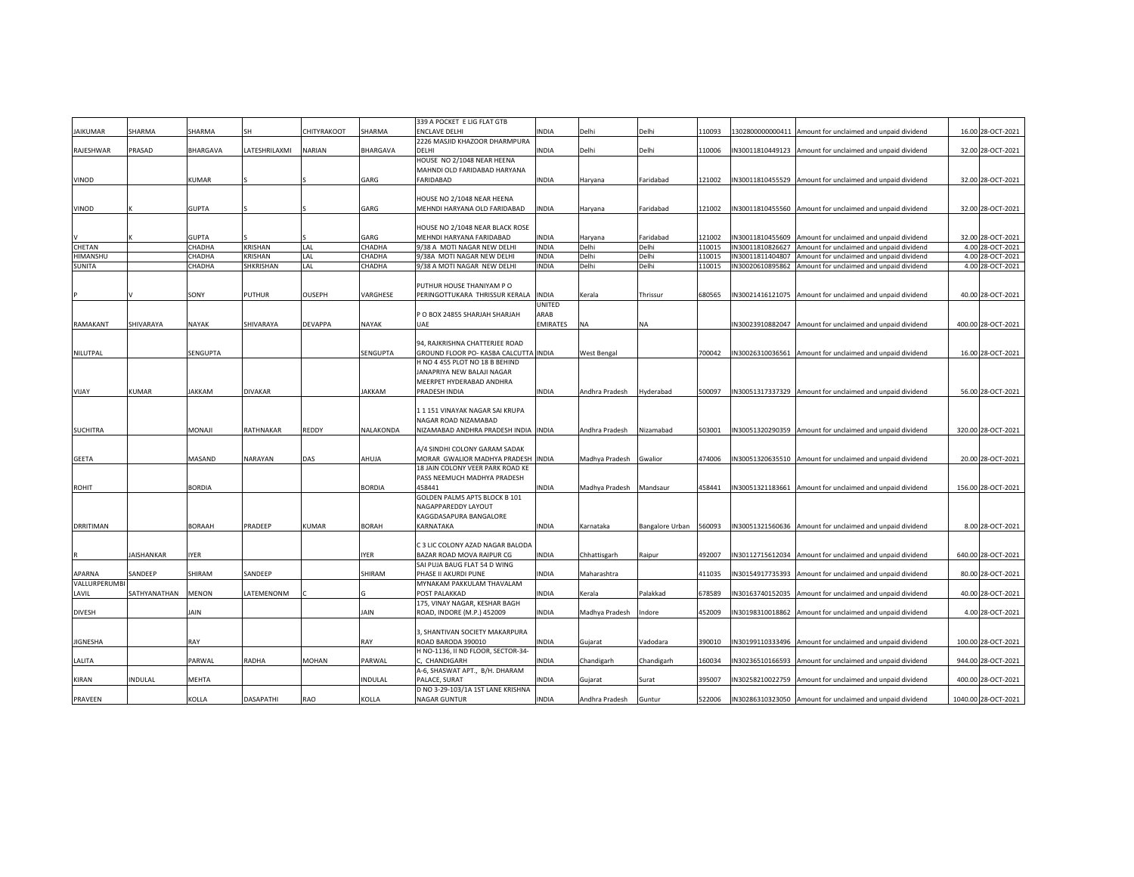|                  |                |               |                  |               |               | 339 A POCKET E LIG FLAT GTB           |                 |                    |                 |        |                  |                                                           |                     |
|------------------|----------------|---------------|------------------|---------------|---------------|---------------------------------------|-----------------|--------------------|-----------------|--------|------------------|-----------------------------------------------------------|---------------------|
| <b>JAIKUMAR</b>  | SHARMA         | SHARMA        | SH               | CHITYRAKOOT   | SHARMA        | <b>ENCLAVE DELHI</b>                  | INDIA           | Delhi              | Delhi           | 10093  |                  | 1302800000000411 Amount for unclaimed and unpaid dividend | 16.00 28-OCT-2021   |
|                  |                |               |                  |               |               | 2226 MASJID KHAZOOR DHARMPURA         |                 |                    |                 |        |                  |                                                           |                     |
| RAJESHWAR        | PRASAD         | BHARGAVA      | LATESHRILAXMI    | NARIAN        | BHARGAVA      | DELHI                                 | INDIA           | Delhi              | Delhi           | 110006 |                  | IN30011810449123 Amount for unclaimed and unpaid dividend | 32.00 28-OCT-2021   |
|                  |                |               |                  |               |               | HOUSE NO 2/1048 NEAR HEENA            |                 |                    |                 |        |                  |                                                           |                     |
|                  |                |               |                  |               |               | MAHNDI OLD FARIDABAD HARYANA          |                 |                    |                 |        |                  |                                                           |                     |
| VINOD            |                | KUMAR         |                  |               | GARG          | FARIDABAD                             | INDIA           | Haryana            | Faridabad       | 121002 |                  | IN30011810455529 Amount for unclaimed and unpaid dividend | 32.00 28-OCT-2021   |
|                  |                |               |                  |               |               |                                       |                 |                    |                 |        |                  |                                                           |                     |
|                  |                |               |                  |               |               | HOUSE NO 2/1048 NEAR HEENA            |                 |                    |                 |        |                  |                                                           |                     |
| VINOD            |                | <b>GUPTA</b>  |                  |               | GARG          | MEHNDI HARYANA OLD FARIDABAD          | <b>INDIA</b>    | Haryana            | Faridabad       | 121002 |                  | IN30011810455560 Amount for unclaimed and unpaid dividend | 32.00 28-OCT-2021   |
|                  |                |               |                  |               |               |                                       |                 |                    |                 |        |                  |                                                           |                     |
|                  |                |               |                  |               |               | HOUSE NO 2/1048 NEAR BLACK ROSE       |                 |                    |                 |        |                  |                                                           |                     |
|                  |                | <b>GUPTA</b>  |                  |               | GARG          | MEHNDI HARYANA FARIDABAD              | INDIA           | Haryana            | Faridabad       | 121002 |                  | IN30011810455609 Amount for unclaimed and unpaid dividend | 32.00 28-OCT-2021   |
| CHETAN           |                | CHADHA        | <b>KRISHAN</b>   | LAL           | CHADHA        | 9/38 A MOTI NAGAR NEW DELHI           | <b>INDIA</b>    | Delhi              | Delhi           | 110015 | IN30011810826627 | Amount for unclaimed and unpaid dividend                  | 4.00 28-OCT-2021    |
| HIMANSHU         |                | CHADHA        | <b>KRISHAN</b>   | LAL           | CHADHA        | 9/38A MOTI NAGAR NEW DELHI            | INDIA           | Delhi              | Delhi           | 110015 |                  | IN30011811404807 Amount for unclaimed and unpaid dividend | 4.00 28-OCT-2021    |
| <b>SUNITA</b>    |                | CHADHA        | SHKRISHAN        | LAL           | CHADHA        | 9/38 A MOTI NAGAR NEW DELHI           | INDIA           | Delhi              | Delhi           | 110015 | IN30020610895862 | Amount for unclaimed and unpaid dividend                  | 4.00 28-OCT-2021    |
|                  |                |               |                  |               |               |                                       |                 |                    |                 |        |                  |                                                           |                     |
|                  |                |               |                  |               |               | PUTHUR HOUSE THANIYAM PO              |                 |                    |                 |        |                  |                                                           |                     |
|                  |                | SONY          | PUTHUR           | <b>OUSEPH</b> | VARGHESE      | PERINGOTTUKARA THRISSUR KERALA        | <b>INDIA</b>    | Kerala             | Thrissur        | 680565 |                  | IN30021416121075 Amount for unclaimed and unpaid dividend | 40.00 28-OCT-2021   |
|                  |                |               |                  |               |               |                                       | UNITED          |                    |                 |        |                  |                                                           |                     |
|                  |                |               |                  |               |               | P O BOX 24855 SHARJAH SHARJAH         | ARAB            |                    |                 |        |                  |                                                           |                     |
| RAMAKANT         | SHIVARAYA      | NAYAK         | SHIVARAYA        | DEVAPPA       | NAYAK         | UAE                                   | <b>EMIRATES</b> | <b>NA</b>          | NA              |        |                  | IN30023910882047 Amount for unclaimed and unpaid dividend | 400.00 28-OCT-2021  |
|                  |                |               |                  |               |               |                                       |                 |                    |                 |        |                  |                                                           |                     |
|                  |                |               |                  |               |               | 94, RAJKRISHNA CHATTERJEE ROAD        |                 |                    |                 |        |                  |                                                           |                     |
| NILUTPAL         |                | SENGUPTA      |                  |               | SENGUPTA      | GROUND FLOOR PO- KASBA CALCUTTA INDIA |                 | <b>West Bengal</b> |                 | 700042 |                  | IN30026310036561 Amount for unclaimed and unpaid dividend | 16.00 28-OCT-2021   |
|                  |                |               |                  |               |               | H NO 4 455 PLOT NO 18 B BEHIND        |                 |                    |                 |        |                  |                                                           |                     |
|                  |                |               |                  |               |               | JANAPRIYA NEW BALAJI NAGAR            |                 |                    |                 |        |                  |                                                           |                     |
|                  |                |               |                  |               |               | MEERPET HYDERABAD ANDHRA              |                 |                    |                 |        |                  |                                                           |                     |
| VIJAY            | <b>KUMAR</b>   | JAKKAM        | DIVAKAR          |               | JAKKAM        | PRADESH INDIA                         | INDIA           | Andhra Pradesh     | Hyderabad       | 500097 |                  | IN30051317337329 Amount for unclaimed and unpaid dividend | 56.00 28-OCT-2021   |
|                  |                |               |                  |               |               |                                       |                 |                    |                 |        |                  |                                                           |                     |
|                  |                |               |                  |               |               | 11151 VINAYAK NAGAR SAI KRUPA         |                 |                    |                 |        |                  |                                                           |                     |
|                  |                | MONAJI        | RATHNAKAR        | REDDY         | NALAKONDA     | NAGAR ROAD NIZAMABAD                  |                 | Andhra Pradesh     | Nizamabad       | 503001 |                  |                                                           | 320.00 28-OCT-2021  |
| <b>SUCHITRA</b>  |                |               |                  |               |               | NIZAMABAD ANDHRA PRADESH INDIA INDIA  |                 |                    |                 |        |                  | IN30051320290359 Amount for unclaimed and unpaid dividend |                     |
|                  |                |               |                  |               |               | A/4 SINDHI COLONY GARAM SADAK         |                 |                    |                 |        |                  |                                                           |                     |
| <b>GEETA</b>     |                | MASAND        | NARAYAN          | DAS           | AHUJA         | MORAR GWALIOR MADHYA PRADESH INDIA    |                 | Madhya Pradesh     | Gwalior         | 474006 |                  | IN30051320635510 Amount for unclaimed and unpaid dividend | 20.00 28-OCT-2021   |
|                  |                |               |                  |               |               | 18 JAIN COLONY VEER PARK ROAD KE      |                 |                    |                 |        |                  |                                                           |                     |
|                  |                |               |                  |               |               | PASS NEEMUCH MADHYA PRADESH           |                 |                    |                 |        |                  |                                                           |                     |
| ROHIT            |                | <b>BORDIA</b> |                  |               | <b>BORDIA</b> | 458441                                | INDIA           | Madhya Pradesh     | Mandsaur        | 458441 |                  | IN30051321183661 Amount for unclaimed and unpaid dividend | 156.00 28-OCT-2021  |
|                  |                |               |                  |               |               | GOLDEN PALMS APTS BLOCK B 101         |                 |                    |                 |        |                  |                                                           |                     |
|                  |                |               |                  |               |               | NAGAPPAREDDY LAYOUT                   |                 |                    |                 |        |                  |                                                           |                     |
|                  |                |               |                  |               |               | KAGGDASAPURA BANGALORE                |                 |                    |                 |        |                  |                                                           |                     |
| <b>DRRITIMAN</b> |                | BORAAH        | PRADEEP          | KUMAR         | <b>BORAH</b>  | KARNATAKA                             | INDIA           | Karnataka          | Bangalore Urban | 560093 |                  | IN30051321560636 Amount for unclaimed and unpaid dividend | 8.00 28-OCT-2021    |
|                  |                |               |                  |               |               |                                       |                 |                    |                 |        |                  |                                                           |                     |
|                  |                |               |                  |               |               | C 3 LIC COLONY AZAD NAGAR BALODA      |                 |                    |                 |        |                  |                                                           |                     |
|                  | JAISHANKAR     | IYER          |                  |               | IYER          | BAZAR ROAD MOVA RAIPUR CG             | INDIA           | Chhattisgarh       | Raipur          | 492007 |                  | IN30112715612034 Amount for unclaimed and unpaid dividend | 640.00 28-OCT-2021  |
|                  |                |               |                  |               |               | SAI PUJA BAUG FLAT 54 D WING          |                 |                    |                 |        |                  |                                                           |                     |
| APARNA           | SANDEEP        | SHIRAM        | SANDEEP          |               | SHIRAM        | PHASE II AKURDI PUNE                  | <b>INDIA</b>    | Maharashtra        |                 | 411035 | IN30154917735393 | Amount for unclaimed and unpaid dividend                  | 80.00 28-OCT-2021   |
| VALLURPERUMBI    |                |               |                  |               |               | MYNAKAM PAKKULAM THAVALAM             |                 |                    |                 |        |                  |                                                           |                     |
| LAVIL            | SATHYANATHAN   | MENON         | LATEMENONM       |               | G             | POST PALAKKAD                         | INDIA           | Kerala             | Palakkad        | 678589 | IN30163740152035 | Amount for unclaimed and unpaid dividend                  | 40.00 28-OCT-2021   |
|                  |                |               |                  |               |               | 175, VINAY NAGAR, KESHAR BAGH         |                 |                    |                 |        |                  |                                                           |                     |
| <b>DIVESH</b>    |                | JAIN          |                  |               | <b>JAIN</b>   | ROAD, INDORE (M.P.) 452009            | INDIA           | Madhya Pradesh     | Indore          | 452009 |                  | IN30198310018862 Amount for unclaimed and unpaid dividend | 4.00 28-OCT-2021    |
|                  |                |               |                  |               |               |                                       |                 |                    |                 |        |                  |                                                           |                     |
|                  |                |               |                  |               |               | 3, SHANTIVAN SOCIETY MAKARPURA        |                 |                    |                 |        |                  |                                                           |                     |
| JIGNESHA         |                | RAY           |                  |               | RAY           | ROAD BARODA 390010                    | INDIA           | Gujarat            | Vadodara        | 390010 |                  | IN30199110333496 Amount for unclaimed and unpaid dividend | 100.00 28-OCT-2021  |
|                  |                |               |                  |               |               | H NO-1136, II ND FLOOR, SECTOR-34-    |                 |                    |                 |        |                  |                                                           |                     |
| LALITA           |                | PARWAL        | RADHA            | MOHAN         | PARWAL        | C, CHANDIGARH                         | <b>NDIA</b>     | Chandigarh         | Chandigarh      | 160034 | IN30236510166593 | Amount for unclaimed and unpaid dividend                  | 944.00 28-OCT-2021  |
|                  |                |               |                  |               |               | A-6, SHASWAT APT., B/H. DHARAM        |                 |                    |                 |        |                  |                                                           |                     |
| KIRAN            | <b>INDULAL</b> | MEHTA         |                  |               | INDULAL       | PALACE, SURAT                         | INDIA           | Gujarat            | Surat           | 395007 |                  | IN30258210022759 Amount for unclaimed and unpaid dividend | 400.00 28-OCT-2021  |
|                  |                |               |                  |               |               | D NO 3-29-103/1A 1ST LANE KRISHNA     |                 |                    |                 |        |                  |                                                           |                     |
| PRAVEEN          |                | KOLLA         | <b>DASAPATHI</b> | RAO           | KOLLA         | <b>NAGAR GUNTUR</b>                   | INDIA           | Andhra Pradesh     | Guntur          | 522006 |                  | IN30286310323050 Amount for unclaimed and unpaid dividend | 1040.00 28-OCT-2021 |